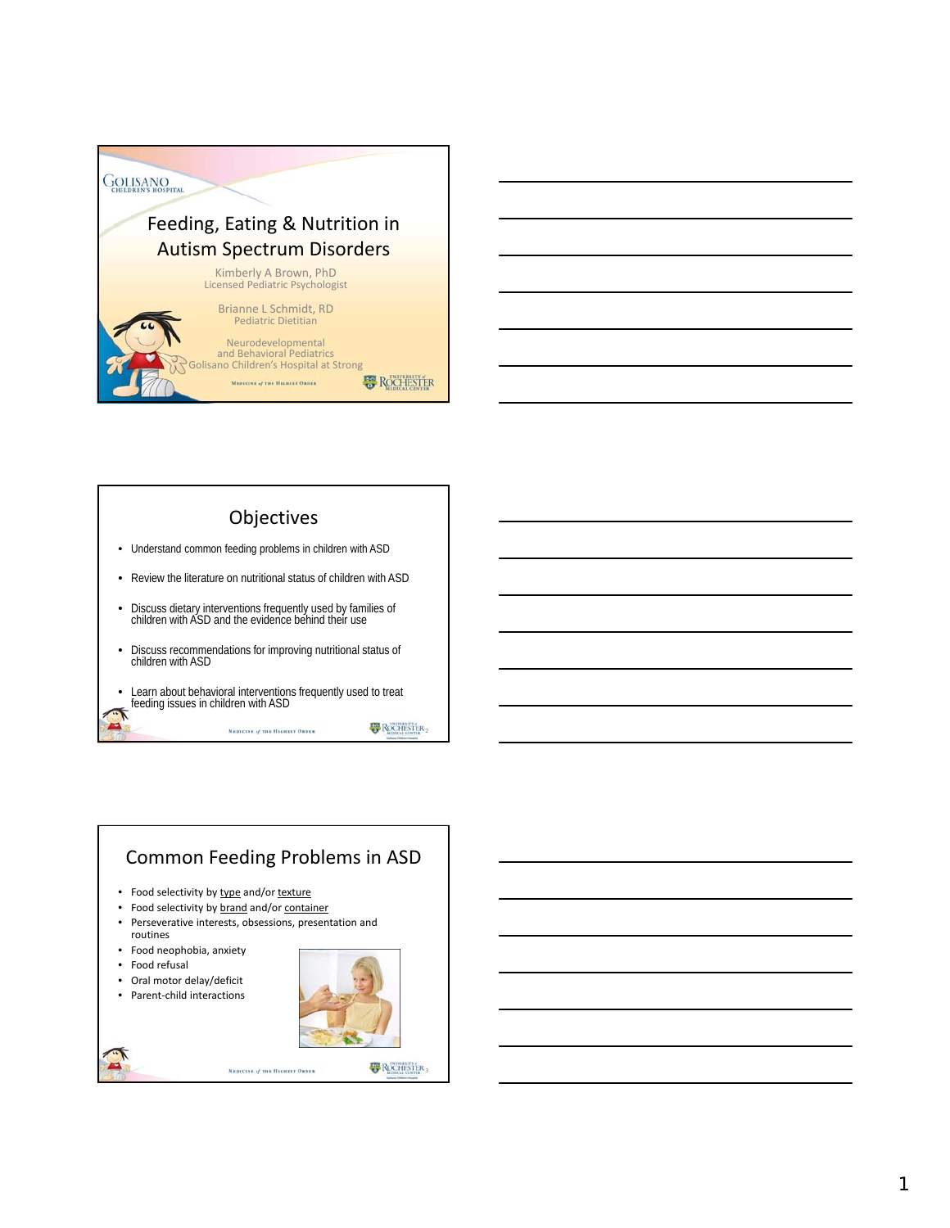



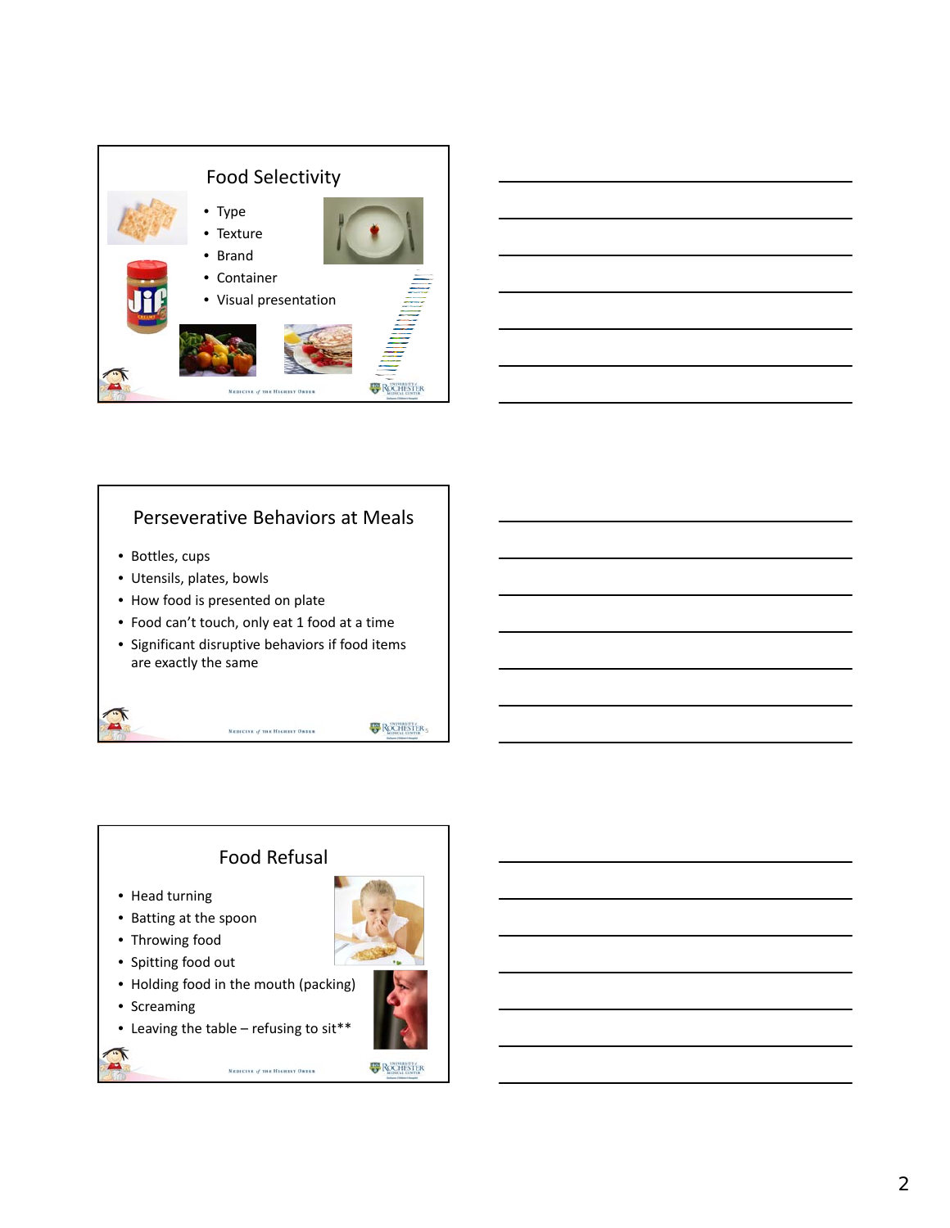



#### Perseverative Behaviors at Meals

- Bottles, cups
- Utensils, plates, bowls
- How food is presented on plate
- Food can't touch, only eat 1 food at a time
- Significant disruptive behaviors if food items are exactly the same

MEDICINE of THE HIGHEST ORDER

**EP** ROCHESTER

# Food Refusal

- Head turning
- Batting at the spoon
- Throwing food
- Spitting food out
- Holding food in the mouth (packing)
- Screaming
- Leaving the table refusing to sit\*\*

MEDICINE of THE HIGHEST ORDER

**B** ROCHESTER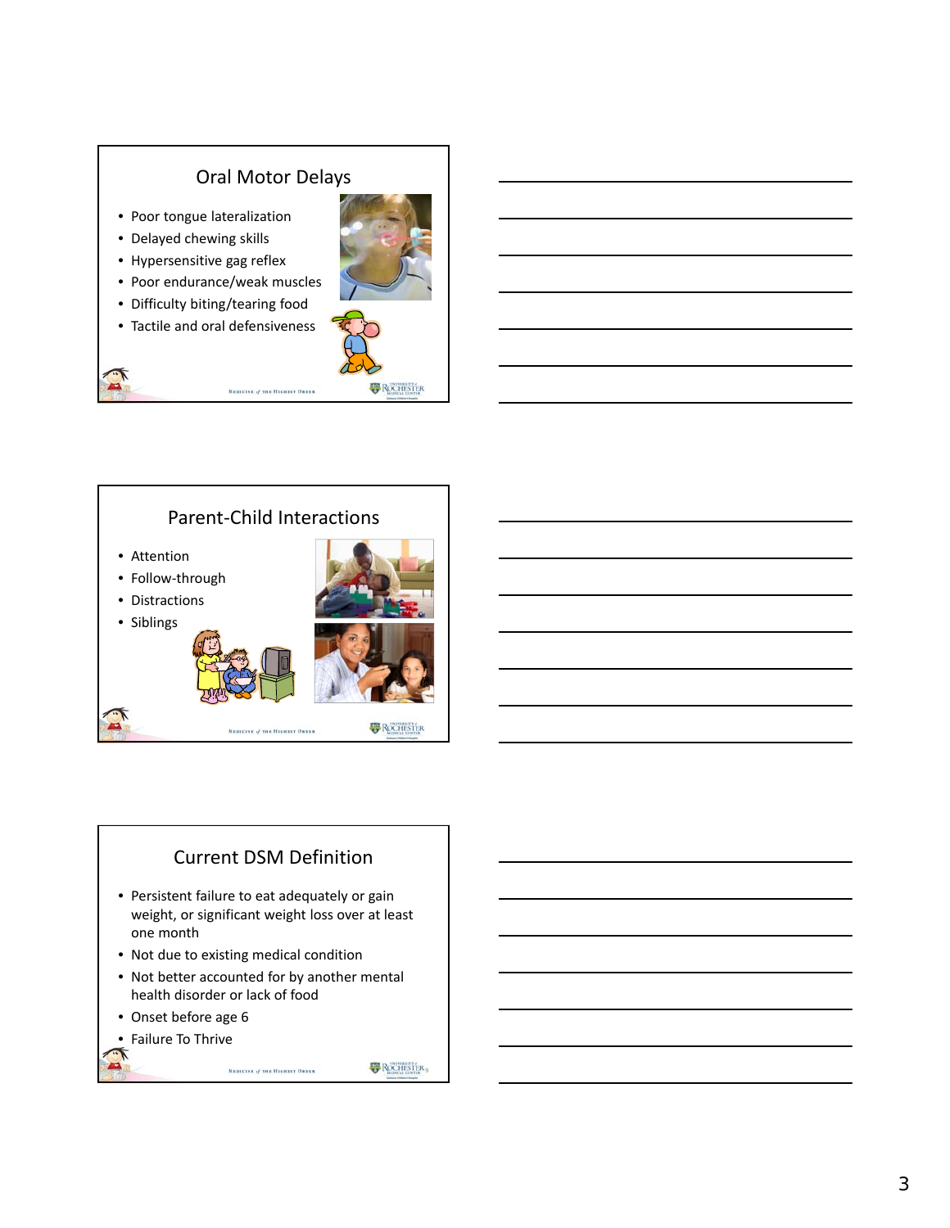#### Oral Motor Delays

MEDICINE of THE HIGHEST ORDER

- Poor tongue lateralization
- Delayed chewing skills
- Hypersensitive gag reflex
- Poor endurance/weak muscles
- Difficulty biting/tearing food
- Tactile and oral defensiveness





#### Current DSM Definition

- Persistent failure to eat adequately or gain weight, or significant weight loss over at least one month
- Not due to existing medical condition
- Not better accounted for by another mental health disorder or lack of food

MEDICINE of THE HIGHEST ORDER

- Onset before age 6
- Failure To Thrive

**B** ROCHESTER,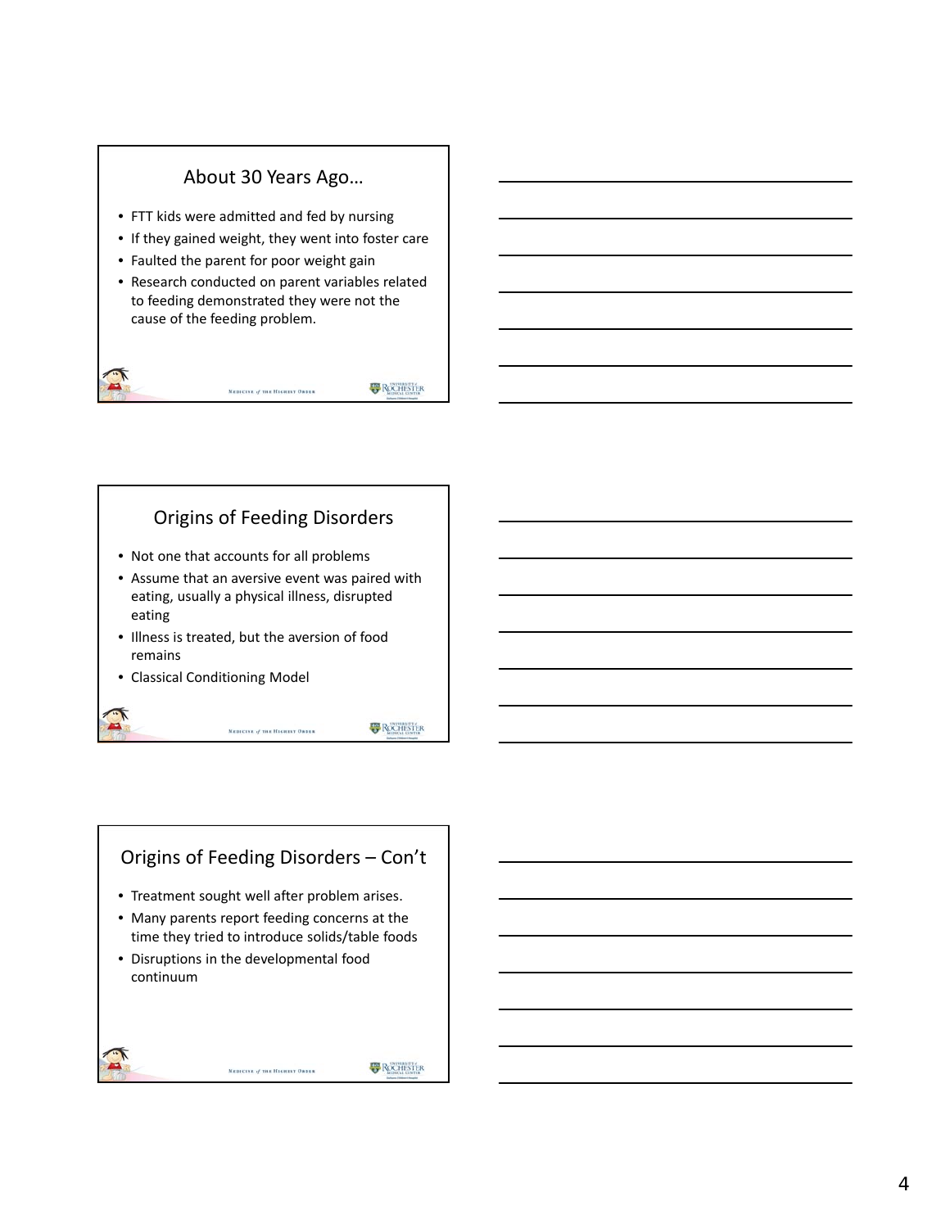#### About 30 Years Ago…

- FTT kids were admitted and fed by nursing
- If they gained weight, they went into foster care
- Faulted the parent for poor weight gain
- Research conducted on parent variables related to feeding demonstrated they were not the cause of the feeding problem.

MEDICINE of THE HIGHEST ORDER

**ROCHESTER** 

#### Origins of Feeding Disorders

- Not one that accounts for all problems
- Assume that an aversive event was paired with eating, usually a physical illness, disrupted eating

MEDICINE of THE HIGHEST ORDER

- Illness is treated, but the aversion of food remains
- Classical Conditioning Model

**ROCHESTER** 

# Origins of Feeding Disorders – Con't • Treatment sought well after problem arises. • Many parents report feeding concerns at the time they tried to introduce solids/table foods • Disruptions in the developmental food continuumMEDICINE of THE HIGHEST ORDER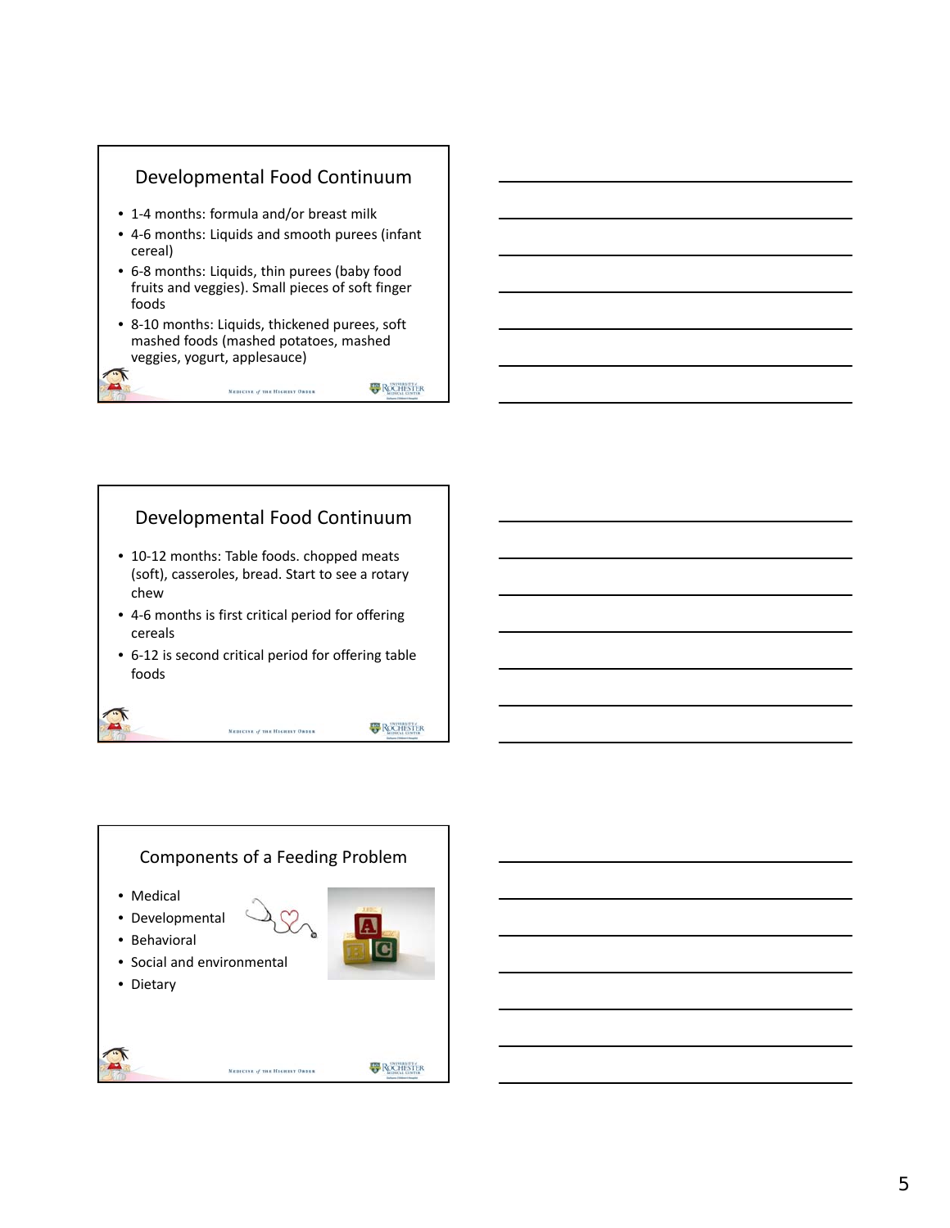



MEDICINE of THE HIGHEST ORDER

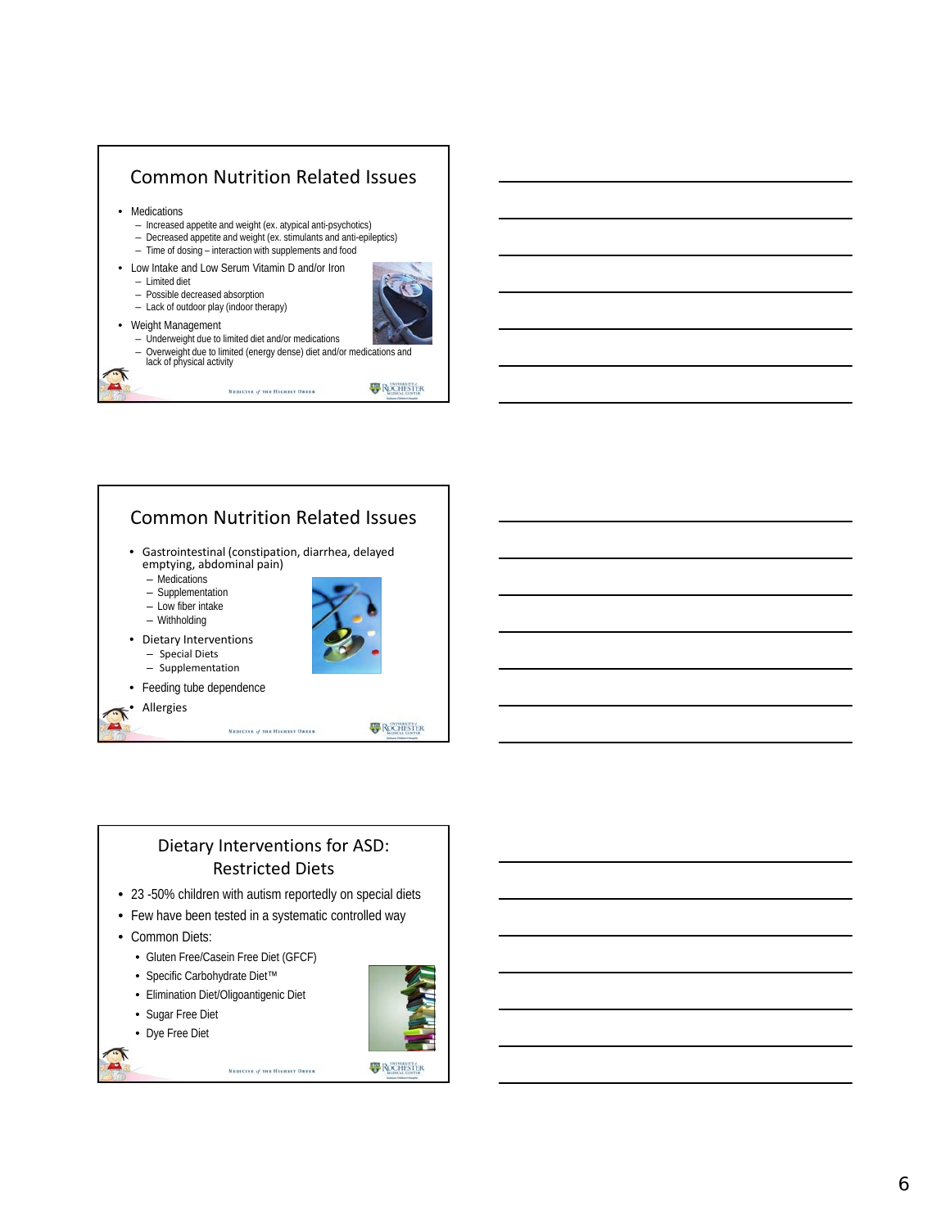

#### Common Nutrition Related Issues • Gastrointestinal (constipation, diarrhea, delayed emptying, abdominal pain) – Medications – Supplementation – Low fiber intake – Withholding • Dietary Interventions – Special Diets – Supplementation • Feeding tube dependence **Allergies ROCHISTER** MEDICINE of THE HIGHEST ORDER

#### Dietary Interventions for ASD: Restricted Diets

• 23 -50% children with autism reportedly on special diets

MEDICINE of THE HIGHEST ORDER

- Few have been tested in a systematic controlled way
- Common Diets:
	- Gluten Free/Casein Free Diet (GFCF)
	- Specific Carbohydrate Diet™
	- Elimination Diet/Oligoantigenic Diet
	- Sugar Free Diet
	- Dye Free Diet

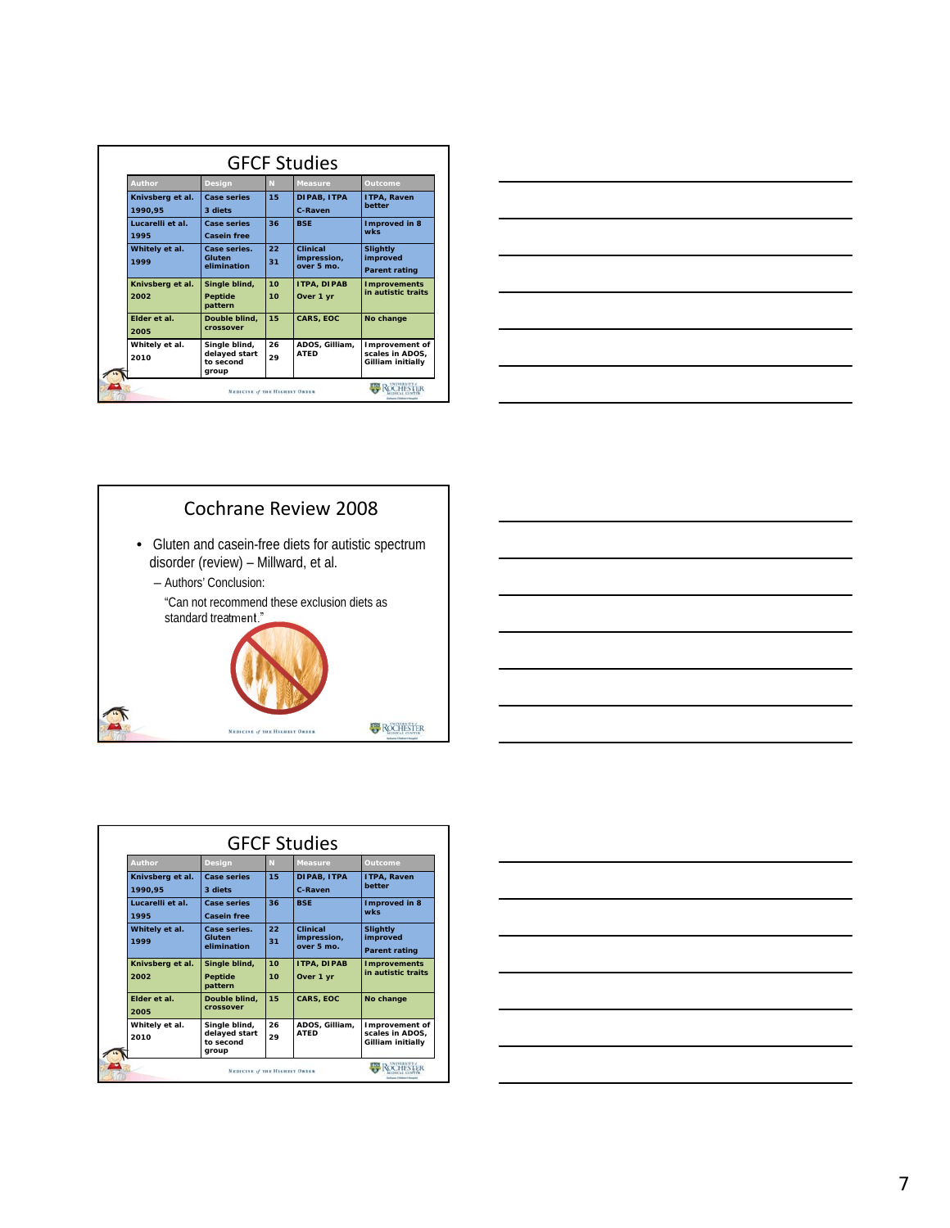| Author           | <b>Design</b>              | N  | <b>Measure</b>            | Outcome                              |
|------------------|----------------------------|----|---------------------------|--------------------------------------|
| Knivsberg et al. | <b>Case series</b>         | 15 | DIPAB, ITPA               | ITPA, Raven                          |
| 1990.95          | 3 diets                    |    | C-Raven                   | better                               |
| Lucarelli et al. | <b>Case series</b>         | 36 | <b>BSE</b>                | Improved in 8                        |
| 1995             | Casein free                |    |                           | <b>wks</b>                           |
| Whitely et al.   | Case series.               | 22 | Clinical                  | <b>Slightly</b>                      |
| 1999             | Gluten<br>elimination      | 31 | impression,<br>over 5 mo. | improved                             |
|                  |                            |    |                           | <b>Parent rating</b>                 |
| Knivsberg et al. | Single blind,              | 10 | <b>ITPA, DIPAB</b>        | <b>Improvements</b>                  |
| 2002             | <b>Peptide</b>             | 10 | Over 1 yr                 | in autistic traits                   |
|                  | pattern                    |    |                           |                                      |
| Elder et al.     | Double blind.              | 15 | <b>CARS, EOC</b>          | No change                            |
| 2005             | crossover                  |    |                           |                                      |
| Whitely et al.   | Single blind,              | 26 | ADOS, Gilliam,            | Improvement of                       |
| 2010             | delayed start<br>to second | 29 | <b>ATED</b>               | scales in ADOS,<br>Gilliam initially |
|                  | group                      |    |                           |                                      |





| <b>Author</b>               | <b>Design</b>                                        | N        | <b>Measure</b>                        | Outcome                                                |
|-----------------------------|------------------------------------------------------|----------|---------------------------------------|--------------------------------------------------------|
| Knivsberg et al.<br>1990.95 | <b>Case series</b><br>3 diets                        | 15       | DIPAB, ITPA<br>C-Raven                | ITPA, Raven<br>better                                  |
| Lucarelli et al.<br>1995    | <b>Case series</b><br><b>Casein free</b>             | 36       | <b>BSE</b>                            | Improved in 8<br><b>wks</b>                            |
| Whitely et al.<br>1999      | Case series.<br>Gluten<br>elimination                | 22<br>31 | Clinical<br>impression,<br>over 5 mo. | <b>Slightly</b><br>improved<br><b>Parent rating</b>    |
| Knivsberg et al.<br>2002    | Single blind,<br><b>Peptide</b><br>pattern           | 10<br>10 | <b>ITPA, DIPAB</b><br>Over 1 yr       | <b>Improvements</b><br>in autistic traits              |
| Elder et al.<br>2005        | Double blind.<br>crossover                           | 15       | <b>CARS, EOC</b>                      | No change                                              |
| Whitely et al.<br>2010      | Single blind,<br>delayed start<br>to second<br>group | 26<br>29 | ADOS, Gilliam,<br><b>ATED</b>         | Improvement of<br>scales in ADOS,<br>Gilliam initially |

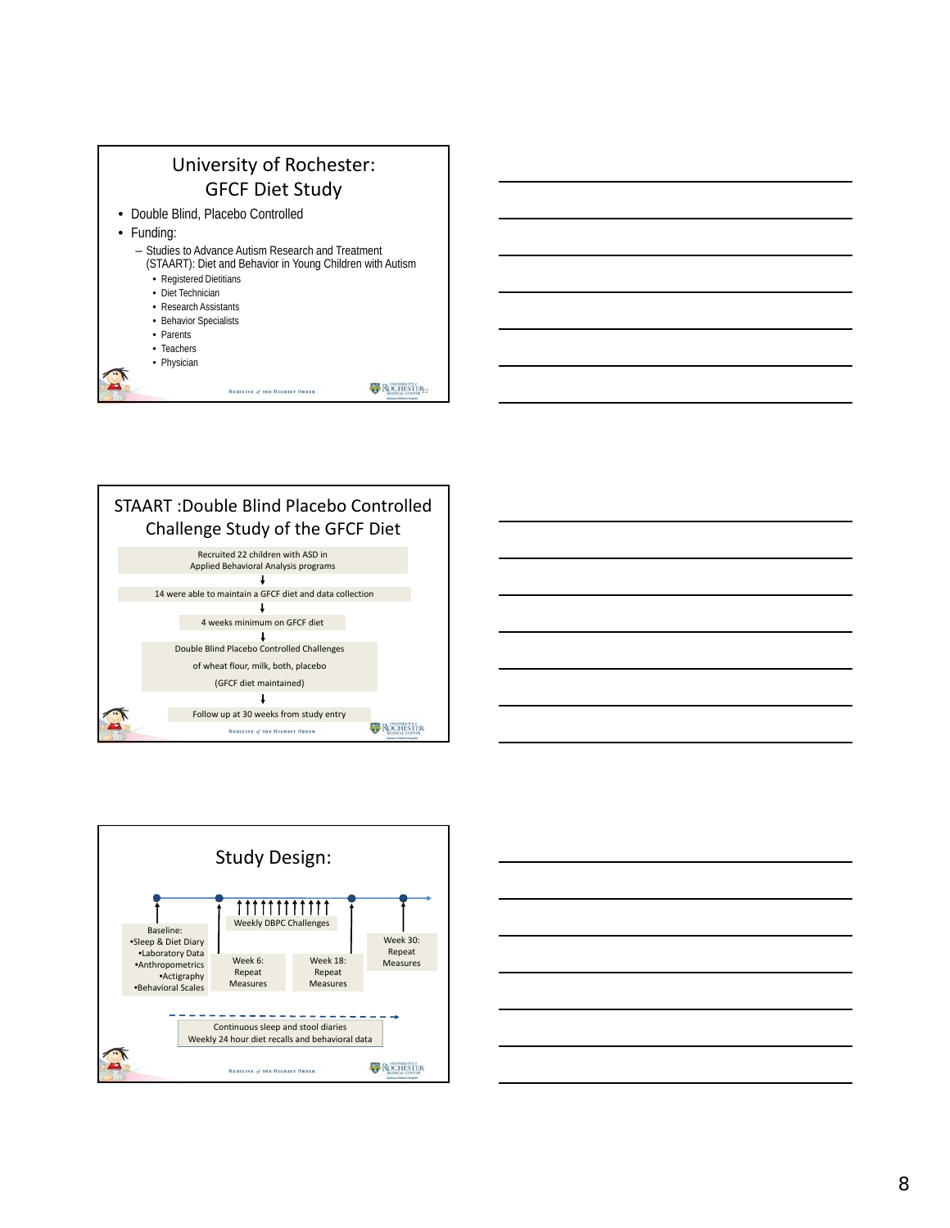







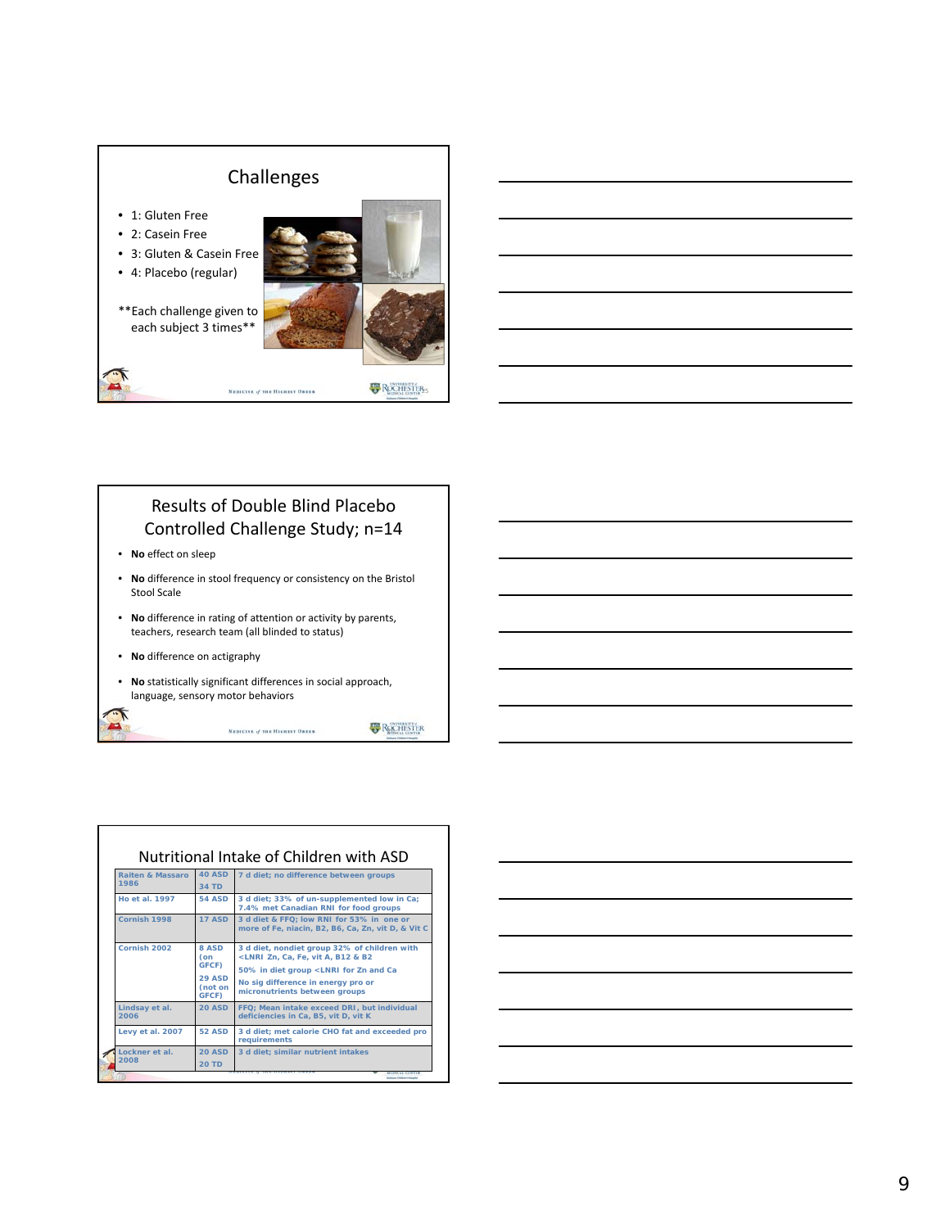

#### Results of Double Blind Placebo Controlled Challenge Study; n=14

• **No** effect on sleep

Г

- **No** difference in stool frequency or consistency on the Bristol Stool Scale
- **No** difference in rating of attention or activity by parents, teachers, research team (all blinded to status)
- **No** difference on actigraphy
- **No** statistically significant differences in social approach, language, sensory motor behaviors

MEDICINE of THE HIGHEST ORDER

**B** ROCHESTER

| <b>Raiten &amp; Massaro</b><br>1986 | <b>40 ASD</b><br><b>34 TD</b>                              | 7 d diet; no difference between groups                                                                                                                                                                                                               |
|-------------------------------------|------------------------------------------------------------|------------------------------------------------------------------------------------------------------------------------------------------------------------------------------------------------------------------------------------------------------|
| <b>Ho et al. 1997</b>               | <b>54 ASD</b>                                              | 3 d diet; 33% of un-supplemented low in Ca;<br>7.4% met Canadian RNI for food groups                                                                                                                                                                 |
| Cornish 1998                        | <b>17 ASD</b>                                              | 3 d diet & FFQ: low RNI for 53% in one or<br>more of Fe, niacin, B2, B6, Ca, Zn, vit D, & Vit C                                                                                                                                                      |
| Cornish 2002                        | 8 ASD<br>(on<br>GFCF)<br><b>29 ASD</b><br>(not on<br>GFCF) | 3 d diet, nondiet group 32% of children with<br><lnri &="" a,="" b12="" b2<br="" ca,="" fe,="" vit="" zn,="">50% in diet group <lnri and="" ca<br="" for="" zn="">No sig difference in energy pro or<br/>micronutrients between groups</lnri></lnri> |
| Lindsay et al.<br>2006              | <b>20 ASD</b>                                              | FFQ; Mean intake exceed DRI, but individual<br>deficiencies in Ca, B5, vit D, vit K                                                                                                                                                                  |
| Levy et al. 2007                    | <b>52 ASD</b>                                              | 3 d diet; met calorie CHO fat and exceeded pro<br>requirements                                                                                                                                                                                       |
| Lockner et al.<br>2008              | <b>20 ASD</b><br><b>20 TD</b>                              | 3 d diet; similar nutrient intakes                                                                                                                                                                                                                   |

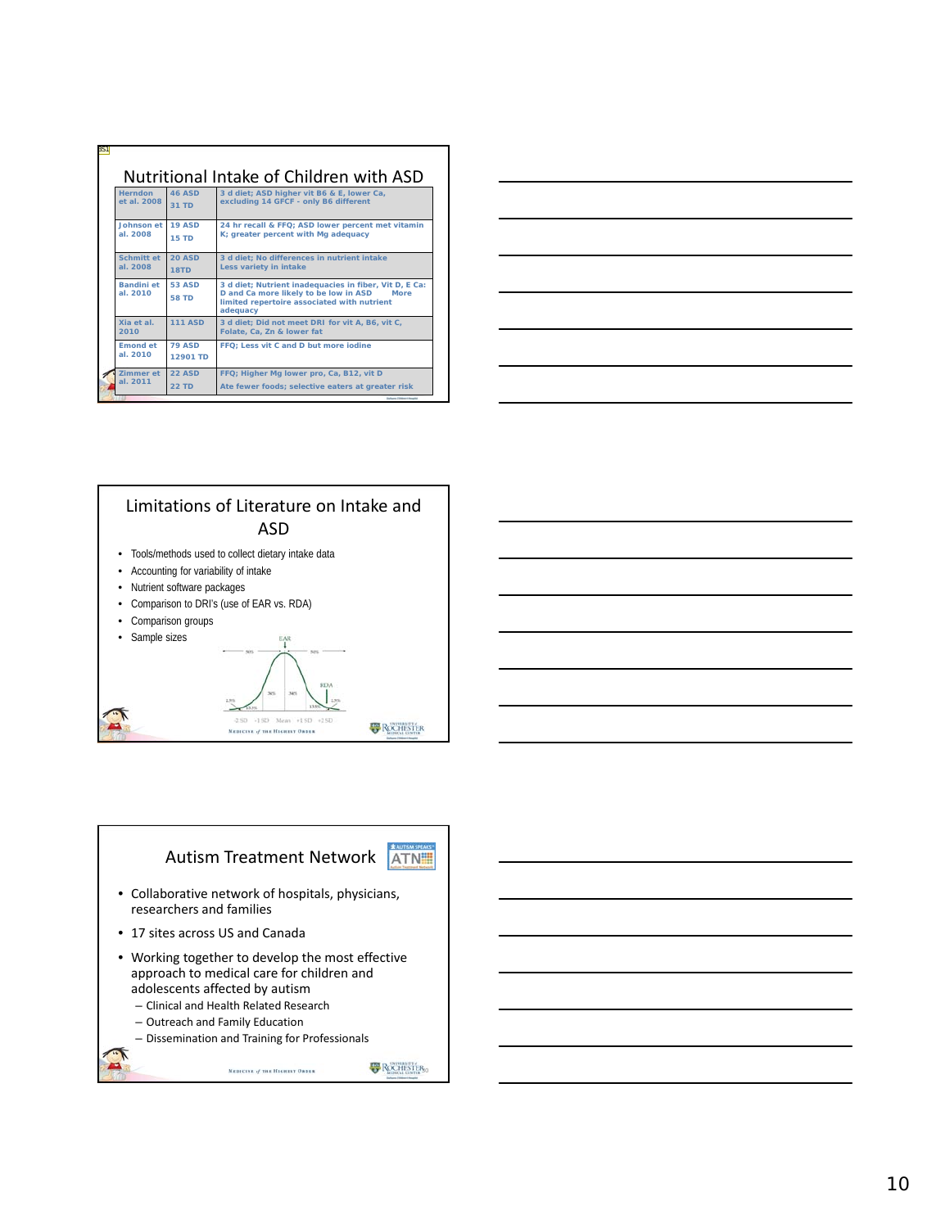| <b>Herndon</b>                | <b>46 ASD</b>             | 3 d diet; ASD higher vit B6 & E, lower Ca,                                                                                                                                |
|-------------------------------|---------------------------|---------------------------------------------------------------------------------------------------------------------------------------------------------------------------|
| et al. 2008                   | $31$ TD                   | excluding 14 GFCF - only B6 different                                                                                                                                     |
| Johnson et                    | <b>19 ASD</b>             | 24 hr recall & FFQ: ASD lower percent met vitamin                                                                                                                         |
| al. 2008                      | <b>15 TD</b>              | K; greater percent with Mg adequacy                                                                                                                                       |
| Schmitt et                    | 20 ASD                    | 3 d diet: No differences in nutrient intake                                                                                                                               |
| al. 2008                      | 18TD                      | Less variety in intake                                                                                                                                                    |
| <b>Randini</b> et<br>al. 2010 | 53 ASD<br><b>58 TD</b>    | 3 d diet; Nutrient inadequacies in fiber, Vit D, E Ca:<br>D and Ca more likely to be low in ASD<br><b>More</b><br>limited repertoire associated with nutrient<br>adequacy |
| Xia et al<br>2010             | <b>111 ASD</b>            | 3 d diet; Did not meet DRI for vit A, B6, vit C,<br>Folate, Ca, Zn & lower fat                                                                                            |
| <b>Emond et</b><br>al. 2010   | <b>79 ASD</b><br>12901 TD | FFQ: Less vit C and D but more jodine                                                                                                                                     |
| Zimmer et                     | <b>22 ASD</b>             | FFQ; Higher Mg lower pro, Ca, B12, vit D                                                                                                                                  |
| al. 2011                      | <b>22 TD</b>              | Ate fewer foods; selective eaters at greater risk                                                                                                                         |

| <u> 1980 - Johann Barbara, martxa alemaniar amerikan a</u> |  |  |
|------------------------------------------------------------|--|--|
|                                                            |  |  |



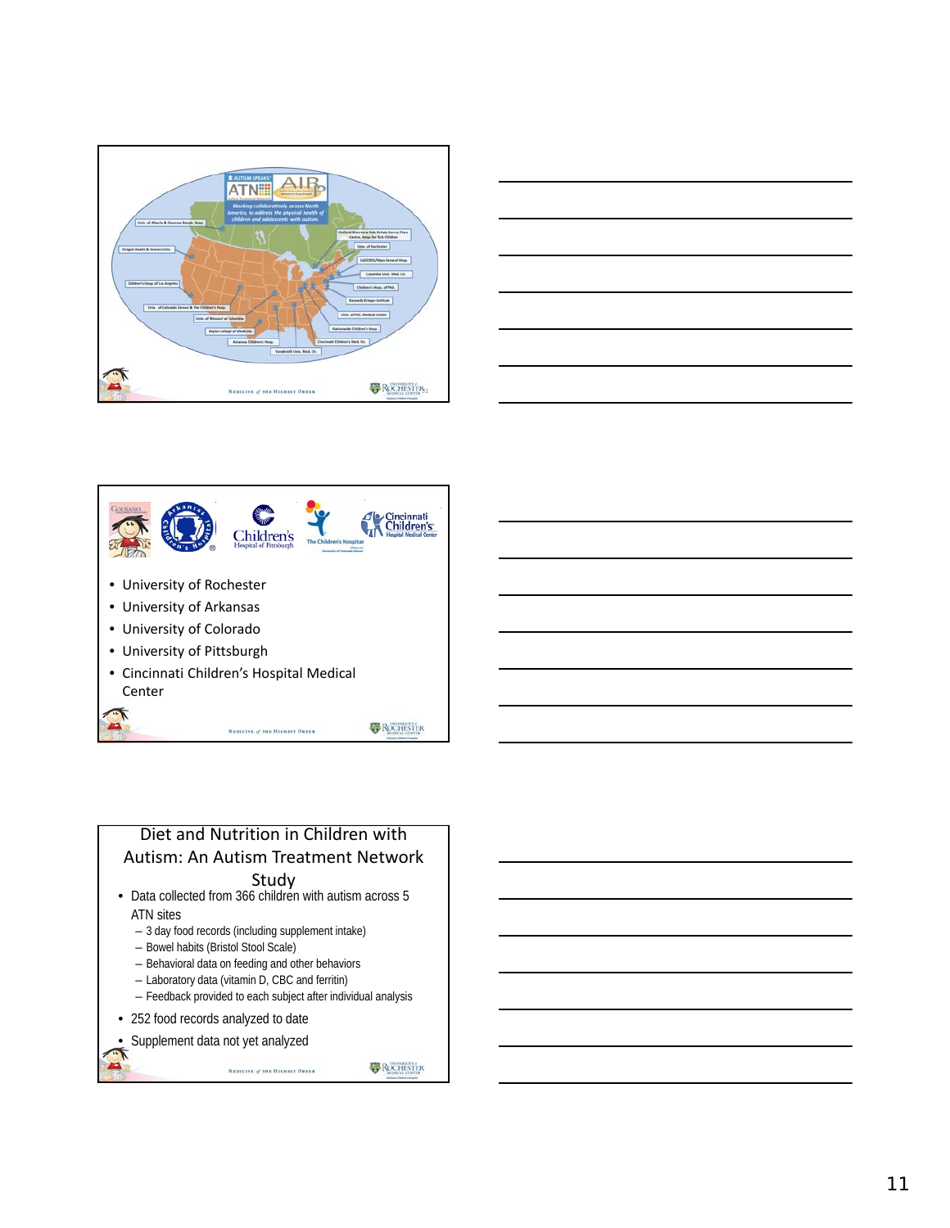





# Diet and Nutrition in Children with Autism: An Autism Treatment Network

- Study Data collected from 366 children with autism across 5 ATN sites
	- 3 day food records (including supplement intake)
	- Bowel habits (Bristol Stool Scale)
	- Behavioral data on feeding and other behaviors
	- Laboratory data (vitamin D, CBC and ferritin)
	- Feedback provided to each subject after individual analysis

MEDICINE of THE HIGHEST ORDER

- 252 food records analyzed to date
- Supplement data not yet analyzed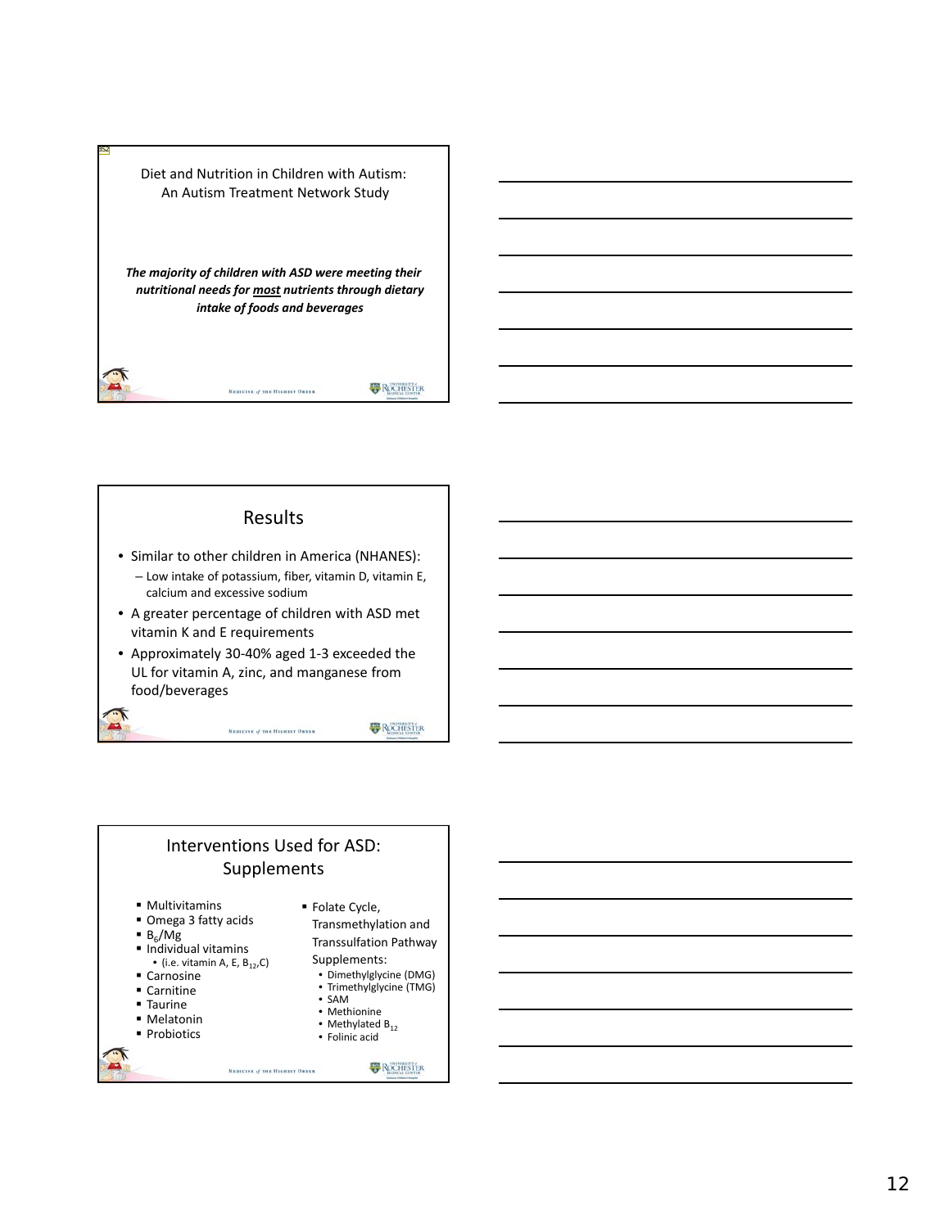Diet and Nutrition in Children with Autism: An Autism Treatment Network Study

BS2

*The majority of children with ASD were meeting their nutritional needs for most nutrients through dietary intake of foods and beverages*

MEDICINE of THE HIGHEST ORDER

**ROCHESTER** 

#### Results

- Similar to other children in America (NHANES):
- Low intake of potassium, fiber, vitamin D, vitamin E, calcium and excessive sodium
- A greater percentage of children with ASD met vitamin K and E requirements
- Approximately 30‐40% aged 1‐3 exceeded the UL for vitamin A, zinc, and manganese from food/beverages

MEDICINE of THE HIGHEST ORDER

**ROCHESTER** 

#### Interventions Used for ASD: Supplements

MEDICINE of THE HIGHEST ORDER

- Multivitamins
- Omega 3 fatty acids
- $B_6/Mg$
- Individual vitamins • (i.e. vitamin A, E,  $B_{12}$ ,C)
- Carnosine
- Carnitine
- Taurine
- Melatonin
- **Probiotics**
- Folate Cycle,
	- Transmethylation and Transsulfation Pathway Supplements:
	- Dimethylglycine (DMG)
	- Trimethylglycine (TMG) • SAM
	- Methionine
	- Methylated  $B_{12}$
	- Folinic acid

**B** ROCHESTER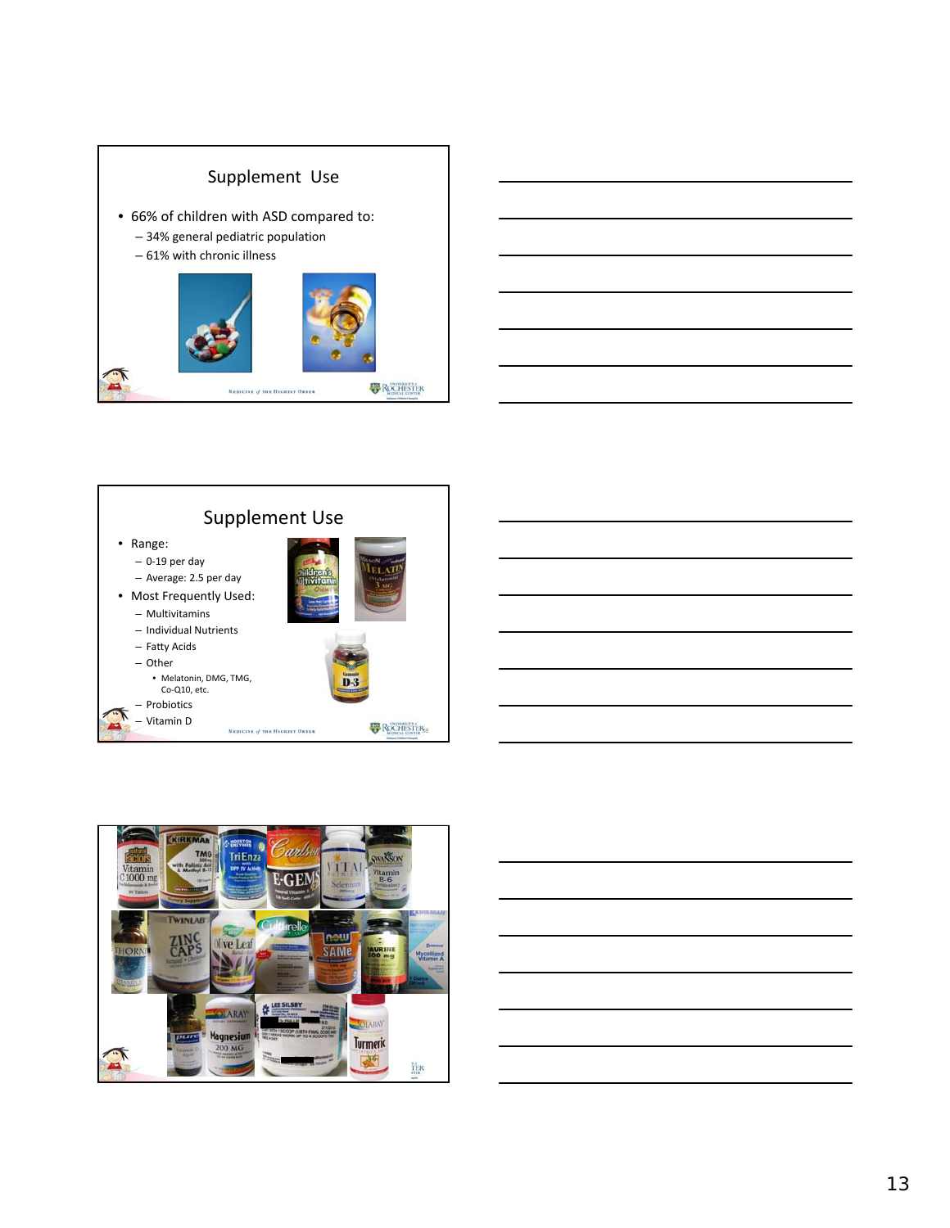









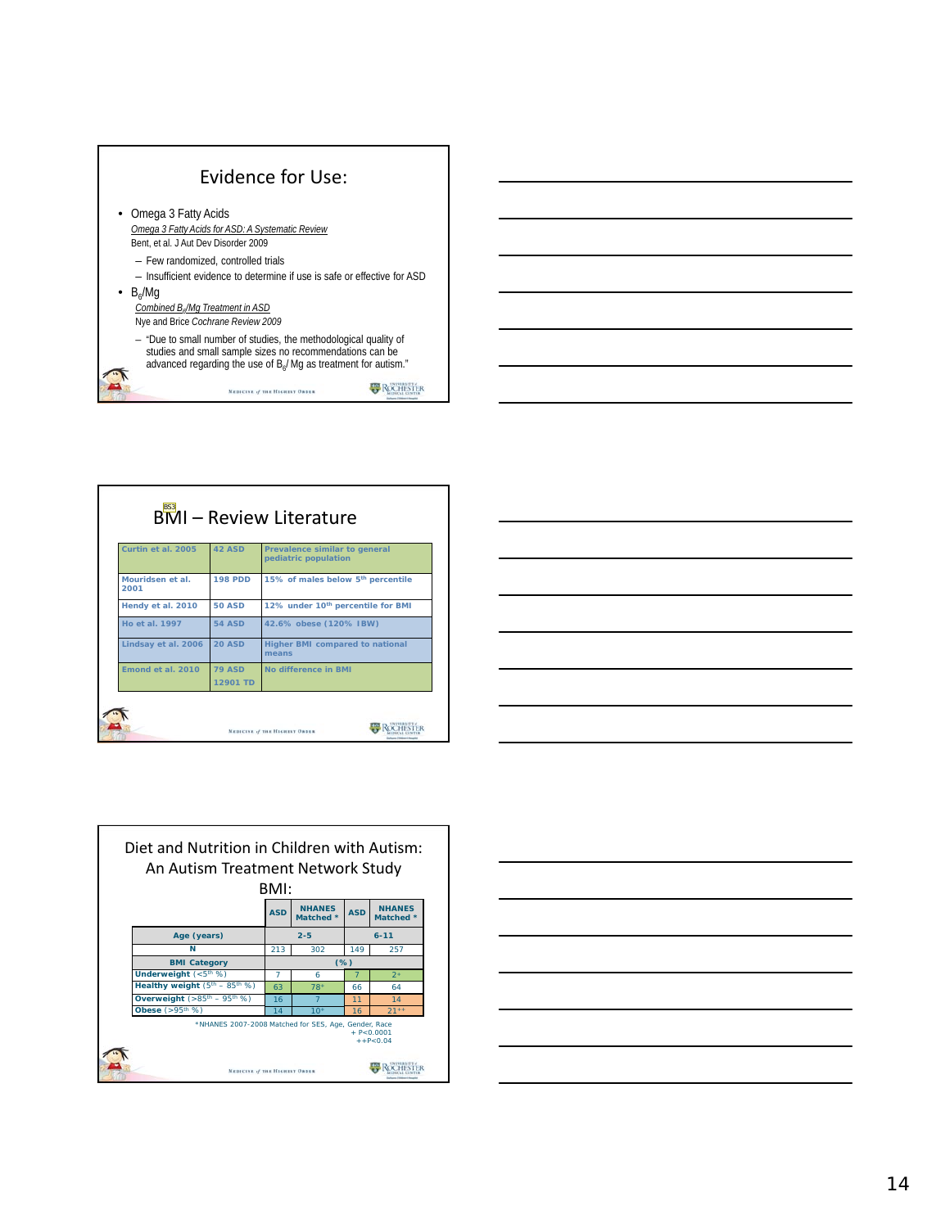

|                          |                | <b>BMI-Review Literature</b>                          |
|--------------------------|----------------|-------------------------------------------------------|
| Curtin et al. 2005       | <b>42 ASD</b>  | Prevalence similar to general<br>pediatric population |
| Mouridsen et al.<br>2001 | <b>198 PDD</b> | 15% of males below 5 <sup>th</sup> percentile         |
| Hendy et al. 2010        | <b>50 ASD</b>  | 12% under 10 <sup>th</sup> percentile for BMI         |
| <b>Ho et al. 1997</b>    | <b>54 ASD</b>  | 42.6% obese (120% IBW)                                |
| Lindsay et al. 2006      | <b>20 ASD</b>  | Higher BMI compared to national<br>means              |
| Emond et al. 2010        | <b>79 ASD</b>  | No difference in BMI                                  |
|                          | 12901 TD       |                                                       |

| <u> Alexandro de la contrada de la contrada de la contrada de la contrada de la contrada de la contrada de la co</u>  |  |                                   |  |
|-----------------------------------------------------------------------------------------------------------------------|--|-----------------------------------|--|
| <u> 1989 - Johann Stein, mars an de Brasilia (b. 1989)</u>                                                            |  |                                   |  |
| <u> 1989 - Johann Stoff, deutscher Stoff, der Stoff, der Stoff, der Stoff, der Stoff, der Stoff, der Stoff, der S</u> |  | and the control of the control of |  |
|                                                                                                                       |  |                                   |  |
| <u> 1989 - Andrea Stadt Britain, amerikansk politik (* 1958)</u>                                                      |  |                                   |  |
| <u> La componenta de la contrada de la contrada de la contrada de la contrada de la contrada de la contrada de l</u>  |  |                                   |  |
| <u> 1989 - Johann Barbara, markazar eta idazlearen 1989</u>                                                           |  |                                   |  |
|                                                                                                                       |  |                                   |  |



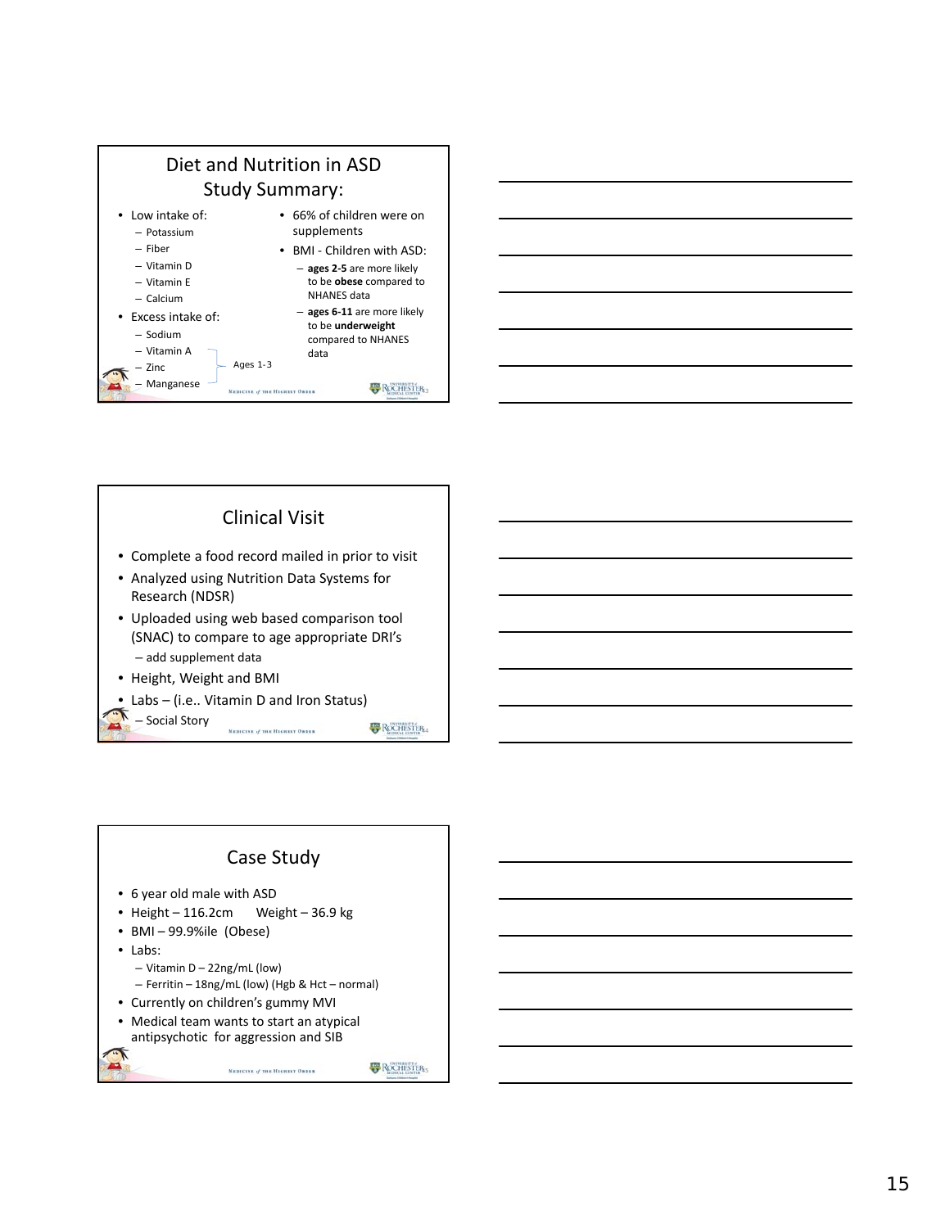

Clinical Visit

Research (NDSR)

– add supplement data • Height, Weight and BMI

• Labs – (i.e.. Vitamin D and Iron Status)





MEDICINE of THE HIGHEST ORDER

**B** ROCHESTER<sub>5</sub>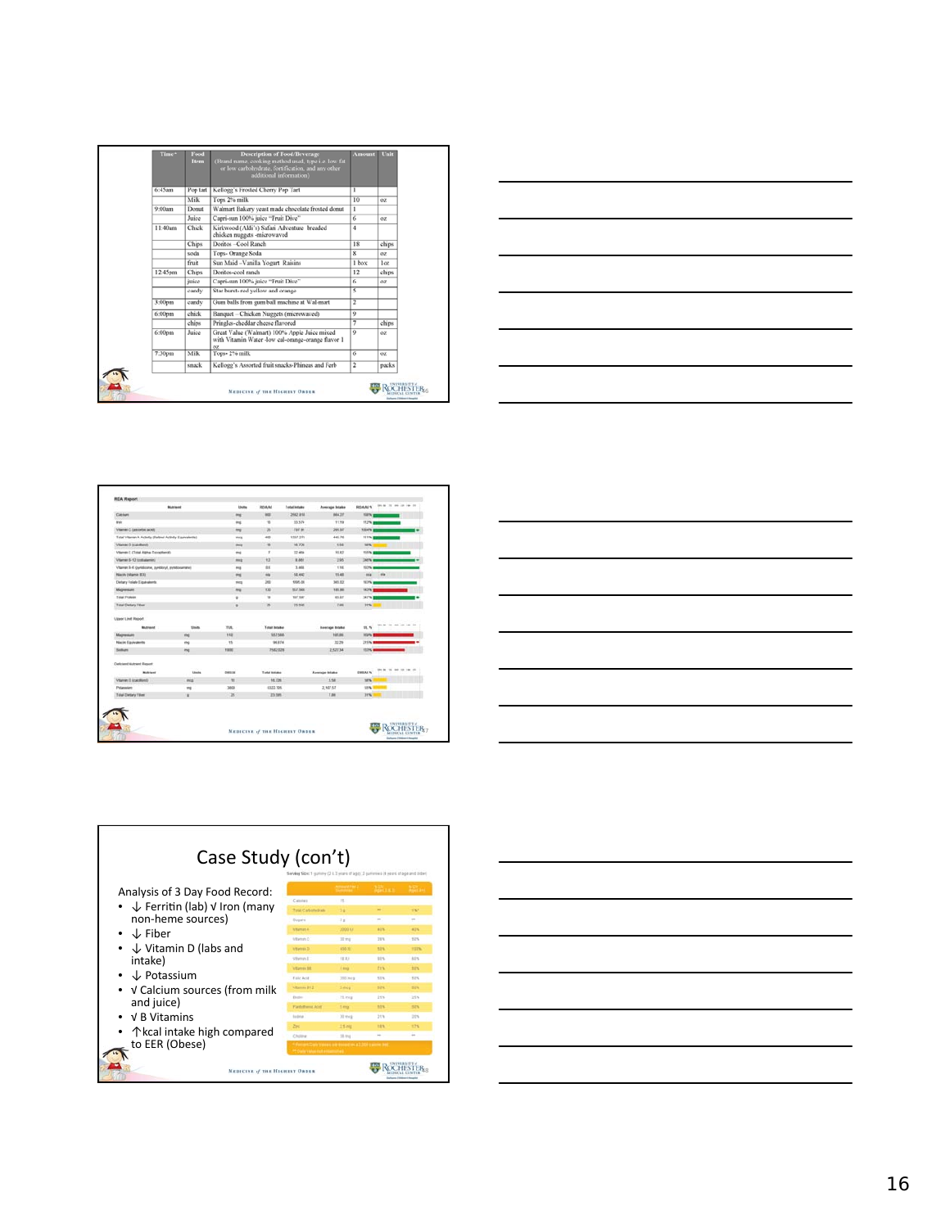| Time*   | Food<br>Item | <b>Description of Food/Beverage</b><br>(Brand name, cooking method used, type i.e. low fat<br>or low carbohydrate, fortification, and any other<br>additional information) | <b>Amount</b>           | Unit            |
|---------|--------------|----------------------------------------------------------------------------------------------------------------------------------------------------------------------------|-------------------------|-----------------|
| 6:45am  | Pop tart     | Kellogg's Frosted Cherry Pop Tart                                                                                                                                          | r                       |                 |
|         | Milk         | Tops 2% milk                                                                                                                                                               | 10                      | OZ              |
| 9:00am  | Donut        | Walmart Bakery yeast made chocolate frosted donut                                                                                                                          | 1                       |                 |
|         | Juice        | Capri-sun 100% juice "Fruit Dive"                                                                                                                                          | 6                       | OZ.             |
| 11:40am | Chick        | Kirkwood (Aldi's) Safari Adventure breaded<br>chicken nuggets -microwaved                                                                                                  | 4                       |                 |
|         | Chips        | Doritos -Cool Ranch                                                                                                                                                        | 18                      | chips           |
|         | soda         | Tops- Orange Soda                                                                                                                                                          | $\mathbf{x}$            | 0Z              |
|         | fruit        | Sun Maid -Vanilla Yogurt Raisins                                                                                                                                           | 1 box                   | 1 <sup>ox</sup> |
| 12:45pm | Chins        | Doritos-cool ranch                                                                                                                                                         | 12                      | chips           |
|         | juice        | Capri-sun 100% juice "Fruit Dive"                                                                                                                                          | 6                       | OZ.             |
|         | candy        | Star burst- red yellow and orange                                                                                                                                          | 3                       |                 |
| 3:00pm  | candy        | Gum balls from gum ball machine at Wal-mart                                                                                                                                | $\overline{\mathbf{r}}$ |                 |
| 6:00pm  | chick        | Banquet - Chicken Nuggets (microwaved)                                                                                                                                     | 9                       |                 |
|         | chips        | Pringles-cheddar cheese flavored                                                                                                                                           | ₹                       | chips           |
| 6:00pm  | Juice        | Great Value (Walmart) 100% Apple Juice mixed<br>with Vitamin Water -low cal-orange-orange flavor 1<br>$_{oz}$                                                              | $\overline{Q}$          | OZ.             |
| 7:30pm  | Milk         | Tops- 2% milk                                                                                                                                                              | $\overline{6}$          | OZ.             |
|         | snack        | Kellogg's Assorted fruit snacks-Phineas and Ferb                                                                                                                           | $\overline{\mathbf{r}}$ | packs           |



|                                                              | Multimed      | <b>Streets</b> | ROAM                | Total Intake    | Average Intake | <b>ROAD N</b>   | 2012 00 10 20 20 20 20 21                    |
|--------------------------------------------------------------|---------------|----------------|---------------------|-----------------|----------------|-----------------|----------------------------------------------|
| Calchero                                                     |               | $\rightarrow$  | <b>MAG</b>          | 2682 818        | 864.37         | <b>Harw</b>     |                                              |
| <b>Brand</b>                                                 |               | m              | m                   | 33.574          | 11.19          | 112%            |                                              |
| Vitamin C (assessme) acres                                   |               | $\rightarrow$  | z                   | <b>TET IN</b>   | 295.97         | <b>3004%</b>    |                                              |
| Tutte's Vitaman A. Activity (Partinei Activity Essayadentis) |               | ma             | 400                 | 1337.271        | 445.76         | 111%            |                                              |
| Villanee D (calcifieral)                                     |               | me             | m                   | 16,726          | 1.94           | <b>NH</b>       |                                              |
| Vitamen E. (Total Alpha Tocophand).                          |               | m              | $\tau$              | 32,454          | 10.82          | 155%            |                                              |
| Vitamer IS-12 (collaborate)                                  |               | <b>Hotel</b>   | <b>ka</b>           | 8,861           | 2.95           | <b>JAPN</b>     |                                              |
| Vitamin B-6 (psyldcolne, zurklory), psyldcoamines            |               | ms             | 11                  | 3,656           | 1.16           | 102%            |                                              |
| Niactiv (villamin B.X)                                       |               | ms:            | m                   | 12,447          | 15.48          | n/a             | nia                                          |
| Darlary Folate Eigenverto                                    |               | <b>THE</b>     | 200                 | 1005.06         | \$45,022       | <b>SEPN</b>     |                                              |
| <b>Маркилл</b>                                               |               | 104            | 130                 | SK7 hed.        | 195,982        | 147%            |                                              |
| <b>Total Protein</b>                                         |               | ×              | $+8$                | <b>TRF SIXT</b> | 45.87          | 547%            |                                              |
| <b>Total Clertary Filter</b>                                 |               | $\omega$       | zs.                 | 23.949          | 7.86           | 31%             |                                              |
| <b><i>Lipped Limit Region!</i></b>                           |               | v.             |                     |                 |                |                 |                                              |
| <b>Multimed</b>                                              | <b>Shults</b> | TIR.           | <b>Total Intake</b> |                 | Assesse Intake | <b>SEC. 76</b>  | $m = 16$<br>$\rightarrow$<br><b>SHE</b><br>- |
| Марквые                                                      | m             | 115            | <b>M7 fas</b>       |                 | 105.06         | titirty         |                                              |
| <b>Nacio Equivalente</b>                                     | mp            | $^{15}$        |                     | 96,874          | 32.26          | 219%            |                                              |
| <b>Southurn</b>                                              | me            | <b>Yatic</b>   | <b>FLE2 028</b>     |                 | 232734         | <b>EEPS</b>     |                                              |
| <b>Cerkstent Nutrant Report</b>                              |               |                |                     |                 |                |                 |                                              |
| <b>Rubient</b>                                               | Linds         | OWNER          | Tutal Intake        |                 | Average briate | <b>DRILAL N</b> | $\sim$<br>$-1$                               |
| Vitarran III (catchiand)                                     | mes           | $^{16}$        | 16,726              |                 | 5.58           | <b>NAME</b>     |                                              |
| Putawaters                                                   | ma            | 3800           | 6322,705            |                 | 2,167.57       | 55%             |                                              |
| Total Chefary Filler                                         | ×             | 26             | 23.505              |                 | 7.88           | 31%             |                                              |
|                                                              |               |                |                     |                 |                |                 |                                              |





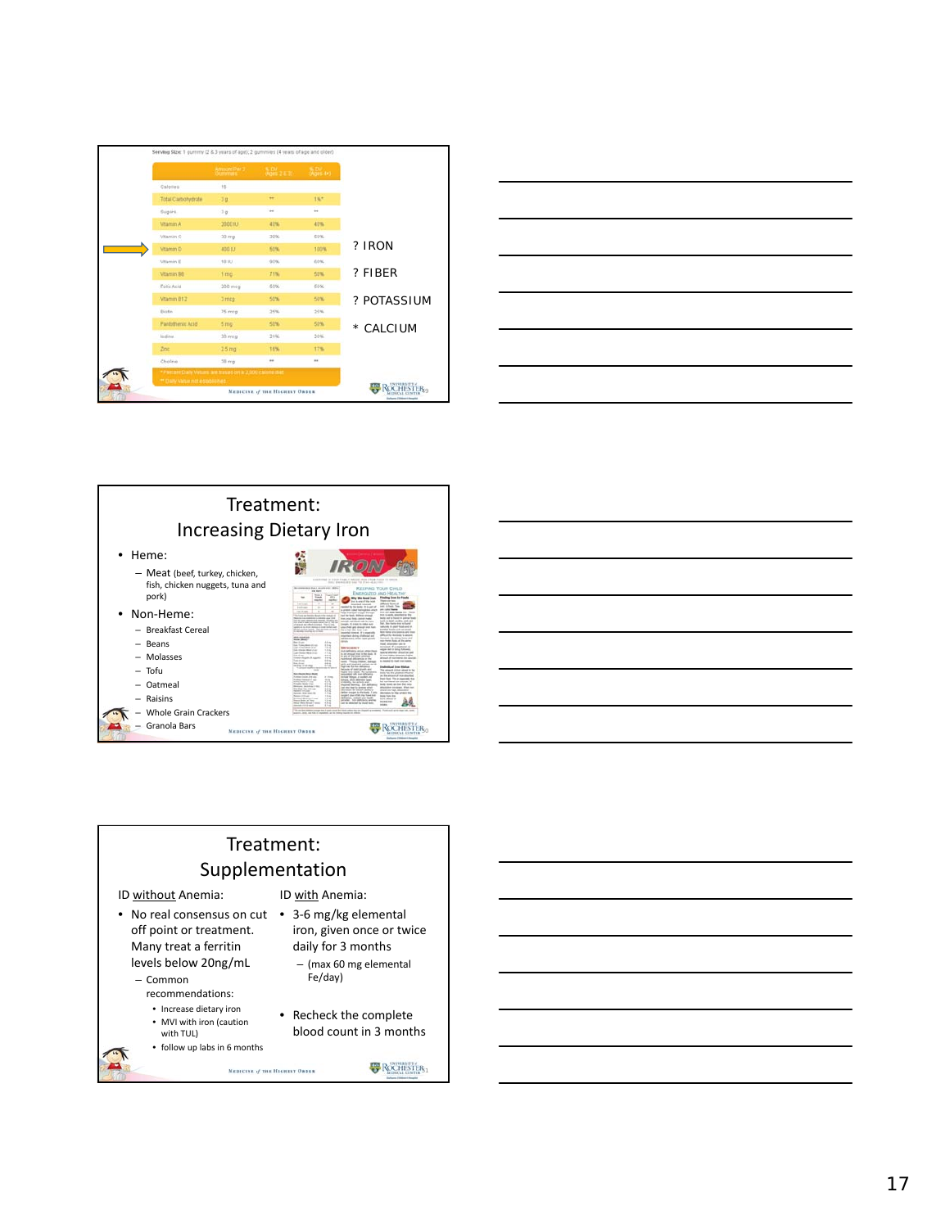|                          | Amount Part 3      | $\frac{4.07}{0.00122.30}$ | $(A)$ DV |             |
|--------------------------|--------------------|---------------------------|----------|-------------|
| Calories                 | 15                 |                           |          |             |
| <b>Total Carbohybate</b> | 30.                | $\ddot{\phantom{1}}$      | 185      |             |
| Sugars.                  | 20                 | $\rightarrow$             | i.       |             |
| Vitamin A                | 2000 IU            | 40%                       | 40%      |             |
| Vitamin C                | $20 \, mg$         | 39%                       | 50%      |             |
| Vitamin <sub>D</sub>     | 400 IU             | 50%                       | 100%     | ? IRON      |
| Vitamin E                | 10.03              | 90%                       | 60%      |             |
| <b>Vitamin BE</b>        | 1 mg               | 71%                       | 50%      | ? FIBER     |
| Folic Acid               | 200 mcg            | 50%                       | 65%      |             |
| Vitamin B12              | 3 m c <sub>0</sub> | 50%                       | 50%      | ? POTASSIUM |
| fricties <sup>1</sup>    | 75 mig             | 25%                       | 25%      |             |
| Pantotheric Acid         | 5 <sub>mg</sub>    | 50%                       | 50%      | * CALCIUM   |
| loding                   | 30 mig             | 21%                       | 20%      |             |
| 20 <sub>0</sub>          | 2.5 <sub>mg</sub>  | 16%                       | 17%      |             |
| Cholne                   | 38 mg              | so.                       | ×.       |             |







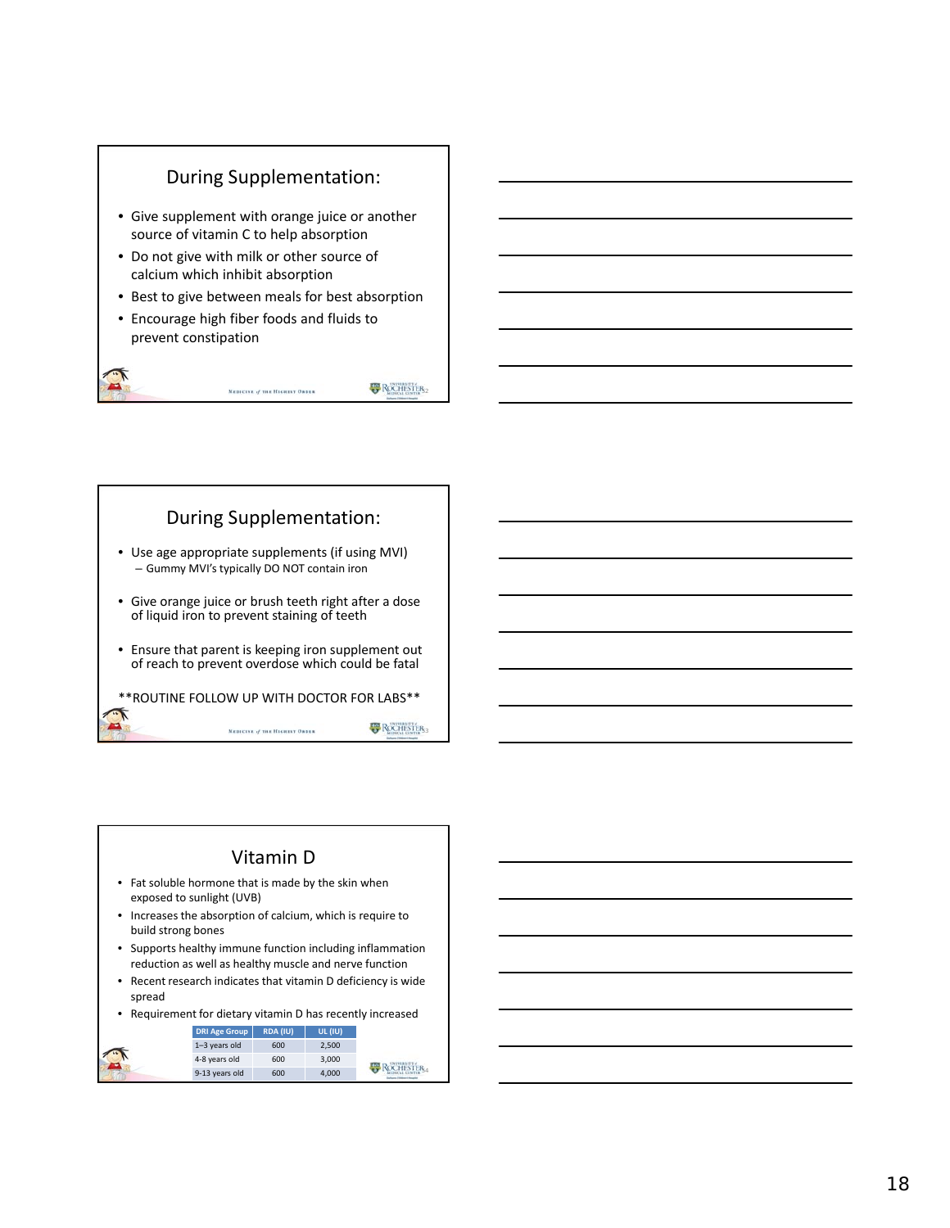

 $R$ **ROCHESTER**<sub>52</sub>

**B** ROCHISTER<sub>3</sub>

During Supplementation:

MEDICINE of THE HIGHEST ORDER

• Use age appropriate supplements (if using MVI) – Gummy MVI's typically DO NOT contain iron

• Give orange juice or brush teeth right after a dose of liquid iron to prevent staining of teeth

• Ensure that parent is keeping iron supplement out of reach to prevent overdose which could be fatal

\*\*ROUTINE FOLLOW UP WITH DOCTOR FOR LABS\*\*

MEDICINE of THE HIGHEST ORDER

#### Vitamin D

- Fat soluble hormone that is made by the skin when exposed to sunlight (UVB)
- Increases the absorption of calcium, which is require to build strong bones
- Supports healthy immune function including inflammation reduction as well as healthy muscle and nerve function
- Recent research indicates that vitamin D deficiency is wide spread
- Requirement for dietary vitamin D has recently increased

| <b>DRI Age Group</b> | <b>RDA (IU)</b> | <b>UL (IU)</b> |                  |
|----------------------|-----------------|----------------|------------------|
| 1-3 years old        | 600             | 2.500          |                  |
| 4-8 years old        | 600             | 3.000          | <b>ROCHESTER</b> |
| 9-13 years old       | 600             | 4.000          |                  |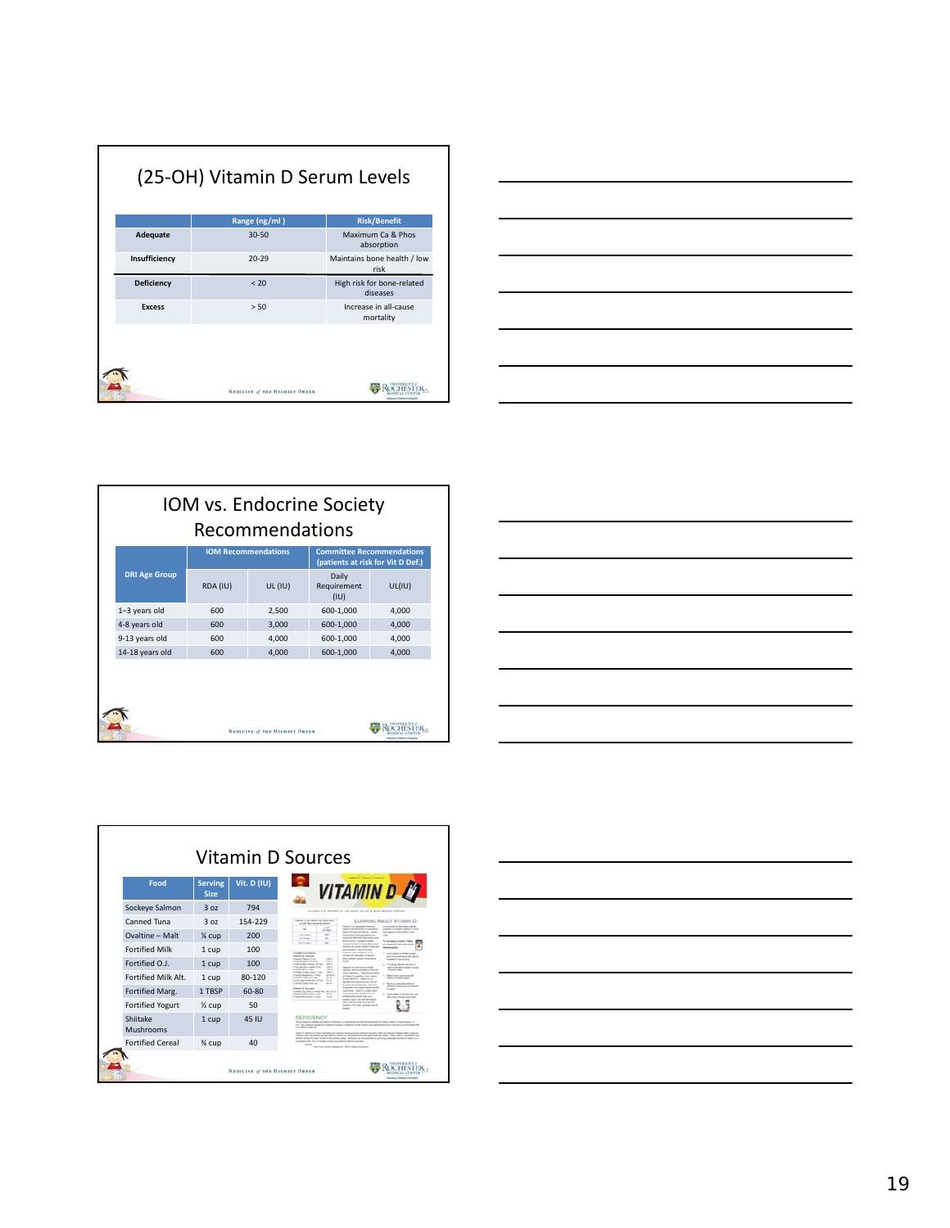|               | Range (ng/ml) | <b>Risk/Benefit</b>                    |
|---------------|---------------|----------------------------------------|
| Adequate      | $30 - 50$     | Maximum Ca & Phos<br>absorption        |
| Insufficiency | $20 - 29$     | Maintains bone health / low<br>risk    |
| Deficiency    | < 20          | High risk for bone-related<br>diseases |
| <b>Excess</b> | > 50          | Increase in all-cause<br>mortality     |
|               |               |                                        |



| IOM vs. Endocrine Society<br>Recommendations |                      |                            |                                |                                                                       |        |  |
|----------------------------------------------|----------------------|----------------------------|--------------------------------|-----------------------------------------------------------------------|--------|--|
|                                              | <b>DRI Age Group</b> | <b>IOM Recommendations</b> |                                | <b>Committee Recommendations</b><br>(patients at risk for Vit D Def.) |        |  |
|                                              |                      | RDA (IU)                   | $UL$ (IU)                      | Daily<br>Requirement<br>(IU)                                          | UL(IU) |  |
|                                              | 1-3 years old        | 600                        | 2,500                          | 600-1,000                                                             | 4,000  |  |
|                                              | 4-8 years old        | 600                        | 3,000                          | 600-1,000                                                             | 4,000  |  |
|                                              | 9-13 years old       | 600                        | 4,000                          | 600-1,000                                                             | 4,000  |  |
|                                              | 14-18 years old      | 600                        | 4,000                          | 600-1,000                                                             | 4,000  |  |
|                                              |                      |                            |                                |                                                                       |        |  |
|                                              |                      |                            | MEDICINE of THE HIGHEST GRDES. |                                                                       |        |  |





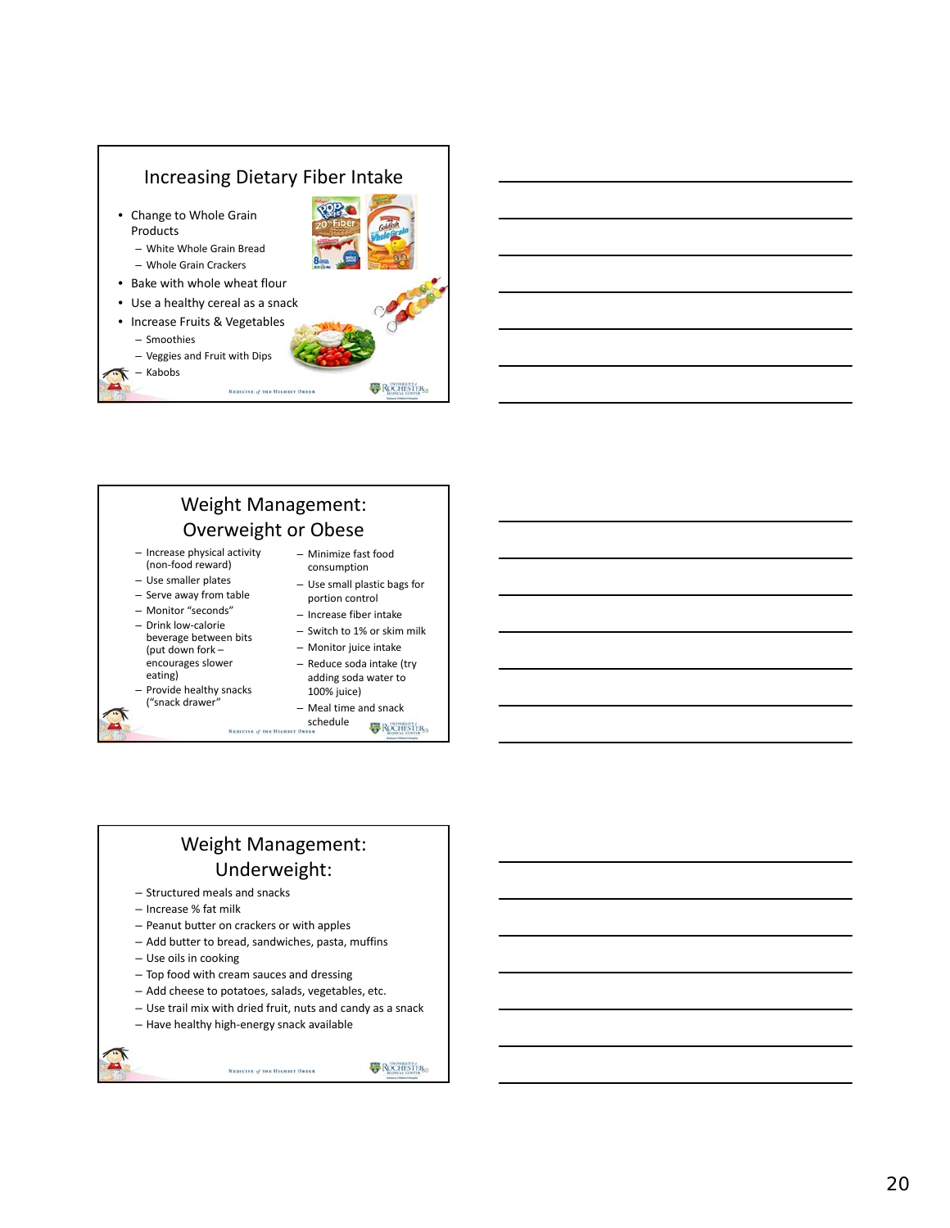



## Weight Management: Underweight:

- Structured meals and snacks
- Increase % fat milk
- Peanut butter on crackers or with apples
- Add butter to bread, sandwiches, pasta, muffins
- Use oils in cooking
- Top food with cream sauces and dressing
- Add cheese to potatoes, salads, vegetables, etc.
- Use trail mix with dried fruit, nuts and candy as a snack

MEDICINE of THE HIGHEST ORDER

– Have healthy high‐energy snack available

**E** ROCHESTER<sub>CO</sub>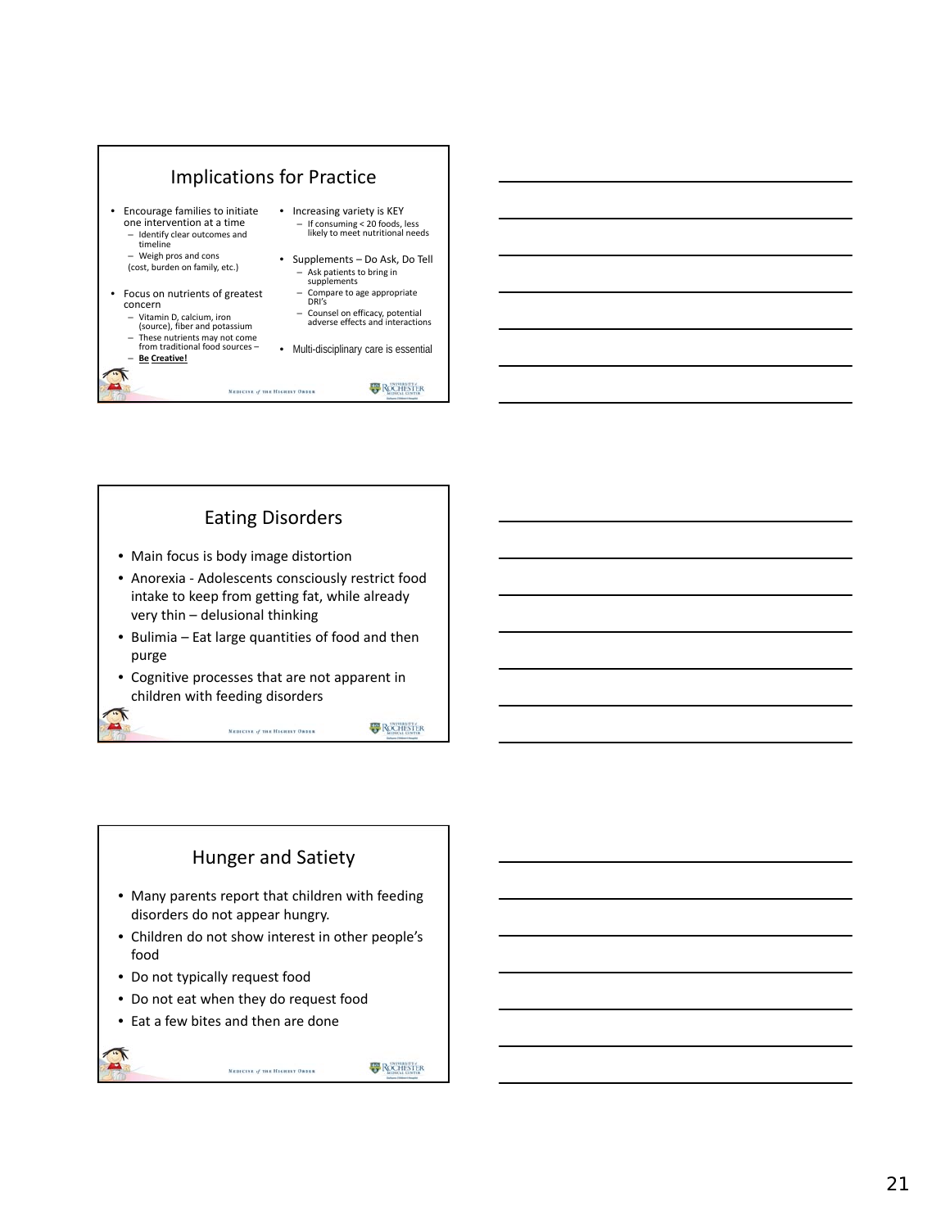

# Eating Disorders • Main focus is body image distortion

- Anorexia ‐ Adolescents consciously restrict food intake to keep from getting fat, while already very thin – delusional thinking
- Bulimia Eat large quantities of food and then purge
- Cognitive processes that are not apparent in children with feeding disorders

MEDICINE of THE HIGHEST ORDER

#### Hunger and Satiety

- Many parents report that children with feeding disorders do not appear hungry.
- Children do not show interest in other people's food

MEDICINE of THE HIGHEST ORDER

- Do not typically request food
- Do not eat when they do request food
- Eat a few bites and then are done

**ROCHESTER** 

**ROCHISTER**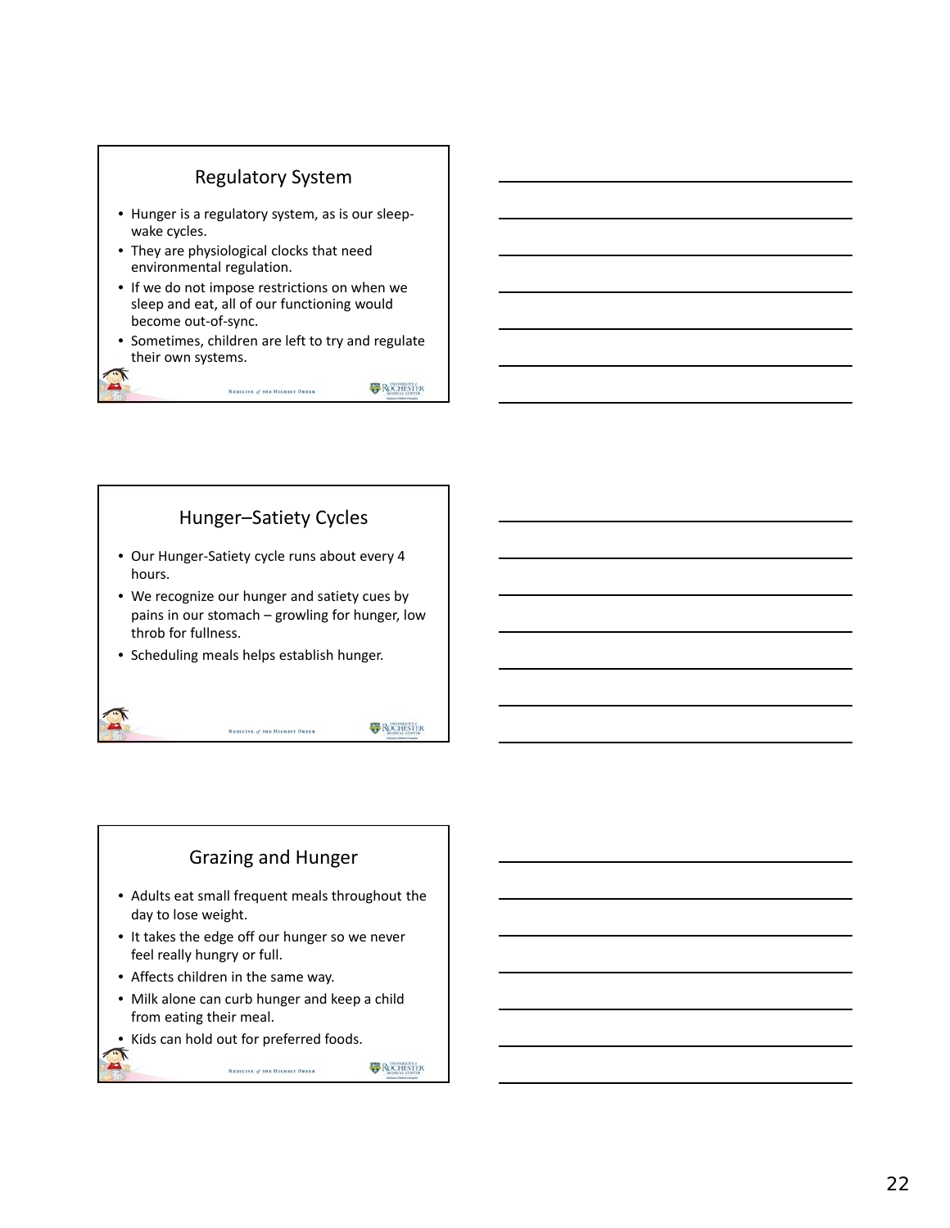

# Hunger–Satiety Cycles

- Our Hunger‐Satiety cycle runs about every 4 hours.
- We recognize our hunger and satiety cues by pains in our stomach – growling for hunger, low throb for fullness.

MEDICINE of THE HIGHEST GROEN

• Scheduling meals helps establish hunger.

**ROCHESTER** 

#### Grazing and Hunger

- Adults eat small frequent meals throughout the day to lose weight.
- It takes the edge off our hunger so we never feel really hungry or full.
- Affects children in the same way.
- Milk alone can curb hunger and keep a child from eating their meal.

MEDICINE of THE HIGHEST ORDER

• Kids can hold out for preferred foods.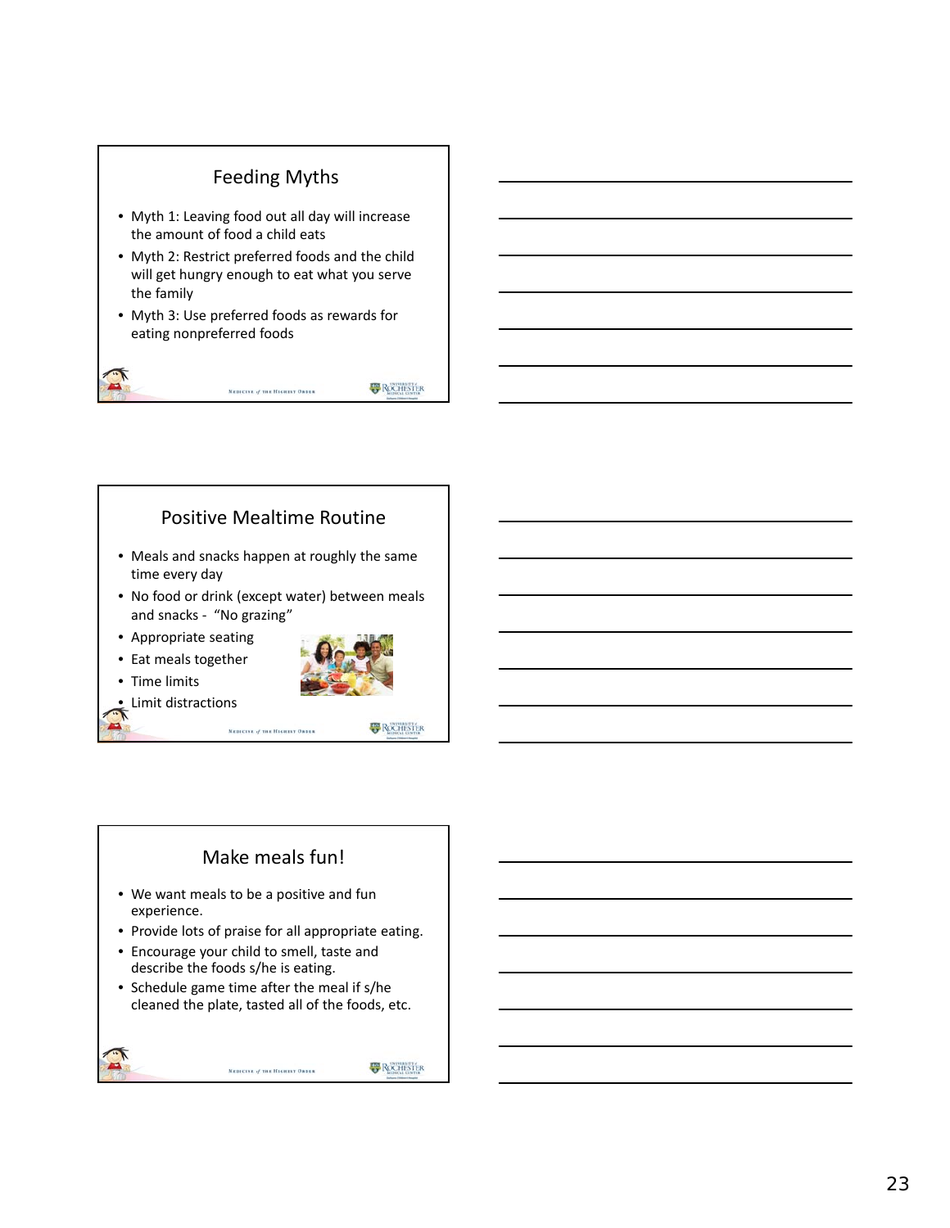# Feeding Myths

- Myth 1: Leaving food out all day will increase the amount of food a child eats
- Myth 2: Restrict preferred foods and the child will get hungry enough to eat what you serve the family
- Myth 3: Use preferred foods as rewards for eating nonpreferred foods

MEDICINE of THE HIGHEST ORDER

**B** ROCHESTER

#### Positive Mealtime Routine

- Meals and snacks happen at roughly the same time every day
- No food or drink (except water) between meals and snacks ‐ "No grazing"
- Appropriate seating
- Eat meals together



**Limit distractions** 

• Time limits

MEDICINE of THE HIGHEST ORDER



#### Make meals fun!

- We want meals to be a positive and fun experience.
- Provide lots of praise for all appropriate eating.
- Encourage your child to smell, taste and describe the foods s/he is eating.
- Schedule game time after the meal if s/he cleaned the plate, tasted all of the foods, etc.

MEDICINE of THE HIGHEST ORDER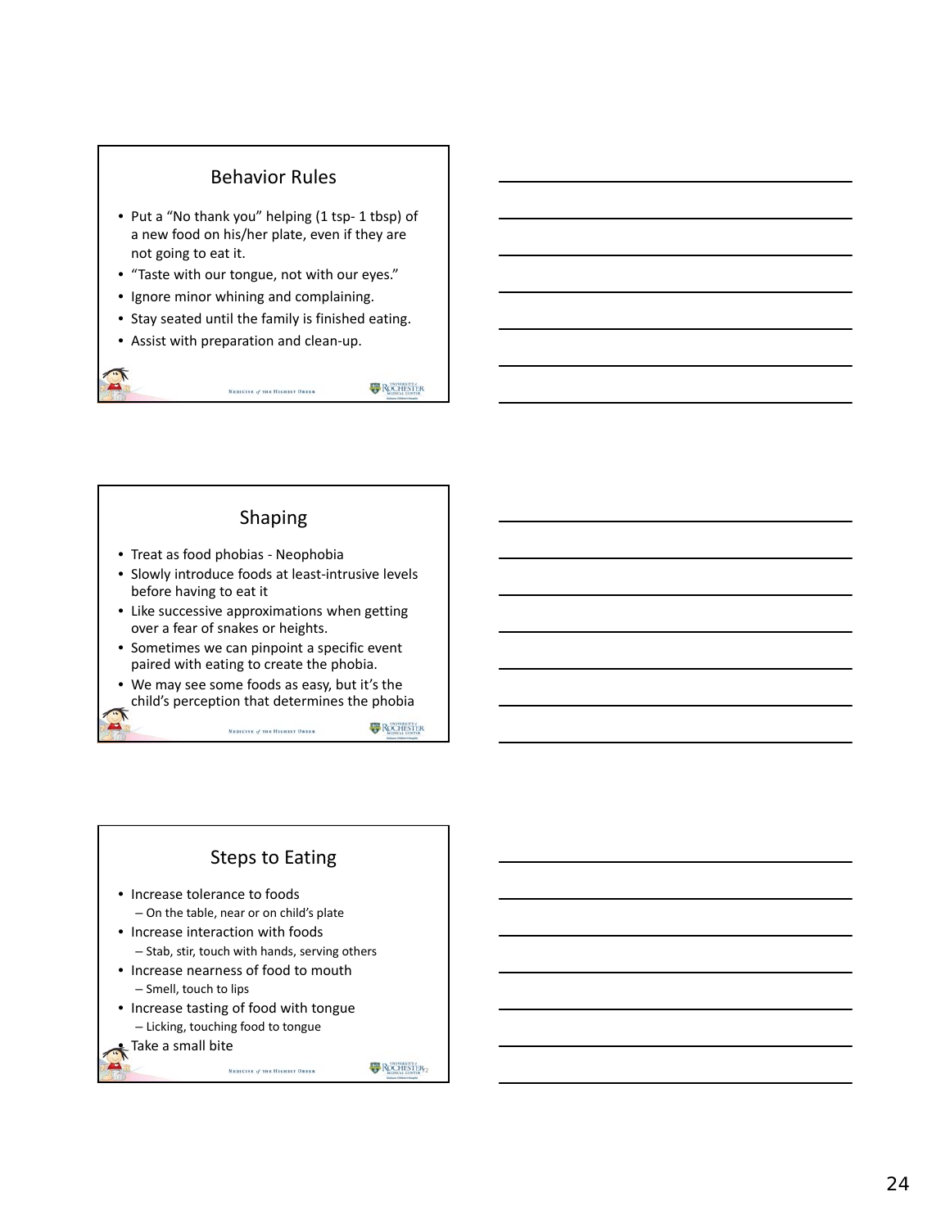#### Behavior Rules

- Put a "No thank you" helping (1 tsp- 1 tbsp) of a new food on his/her plate, even if they are not going to eat it.
- "Taste with our tongue, not with our eyes."
- Ignore minor whining and complaining.
- Stay seated until the family is finished eating.
- Assist with preparation and clean‐up.

MEDICINE of THE HIGHEST ORDER

**B** ROCHESTER

#### Shaping

- Treat as food phobias ‐ Neophobia
- Slowly introduce foods at least‐intrusive levels before having to eat it
- Like successive approximations when getting over a fear of snakes or heights.
- Sometimes we can pinpoint a specific event paired with eating to create the phobia.
- We may see some foods as easy, but it's the child's perception that determines the phobia

MEDICINE of THE HIGHEST ORDER

#### Steps to Eating

- Increase tolerance to foods
	- On the table, near or on child's plate
- Increase interaction with foods – Stab, stir, touch with hands, serving others
- Increase nearness of food to mouth – Smell, touch to lips

MEDICINE of THE HIGHEST ORDER

- Increase tasting of food with tongue – Licking, touching food to tongue
- Take a small bite

ROCHISTER<sub>2</sub>

**B** ROCHESTER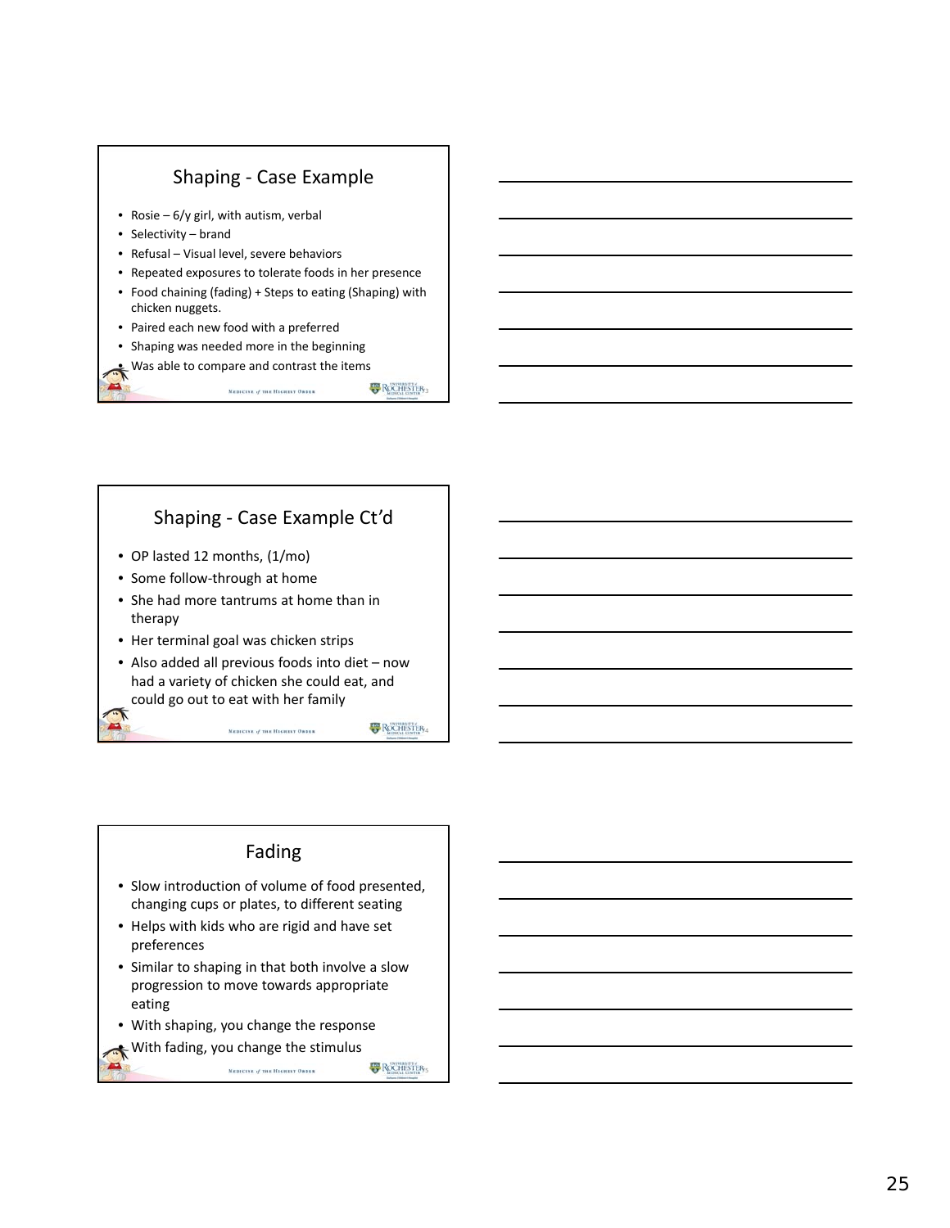

#### Shaping ‐ Case Example Ct'd

- OP lasted 12 months, (1/mo)
- Some follow‐through at home
- She had more tantrums at home than in therapy
- Her terminal goal was chicken strips
- Also added all previous foods into diet now had a variety of chicken she could eat, and could go out to eat with her family

MEDICINE of THE HIGHEST ORDER

#### Fading

- Slow introduction of volume of food presented, changing cups or plates, to different seating
- Helps with kids who are rigid and have set preferences
- Similar to shaping in that both involve a slow progression to move towards appropriate eating

MEDICINE of THE HIGHEST ORDER

- With shaping, you change the response
- With fading, you change the stimulus

ROCHISTER,

ROCHISTER,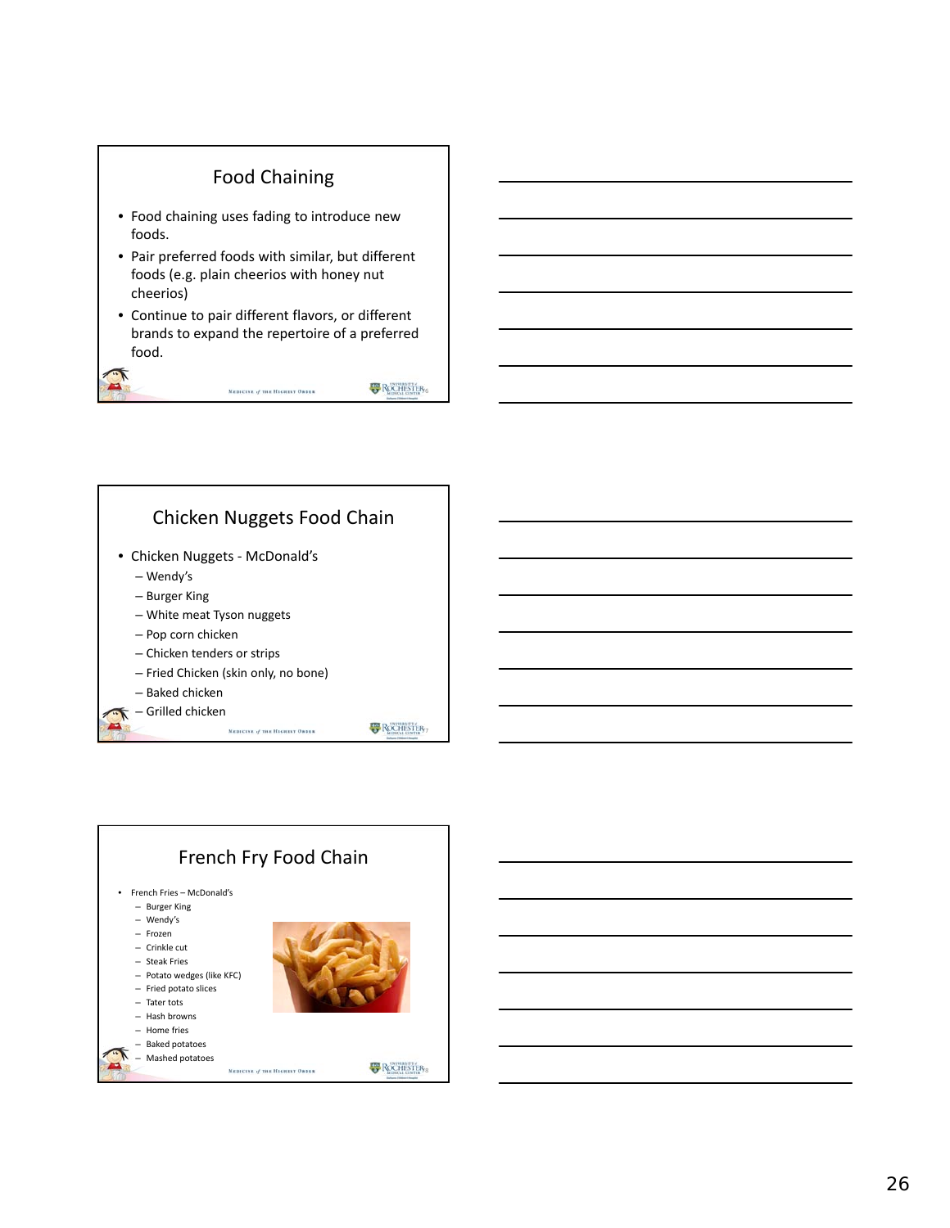#### Food Chaining

- Food chaining uses fading to introduce new foods.
- Pair preferred foods with similar, but different foods (e.g. plain cheerios with honey nut cheerios)
- Continue to pair different flavors, or different brands to expand the repertoire of a preferred food.

MEDICINE of THE HIGHEST ORDER

ROCHISTER,

**ROCHESTER** 



– Baked chicken – Grilled chicken

 $\overline{A}$ 

MEDICINE of THE HIGHEST ORDER

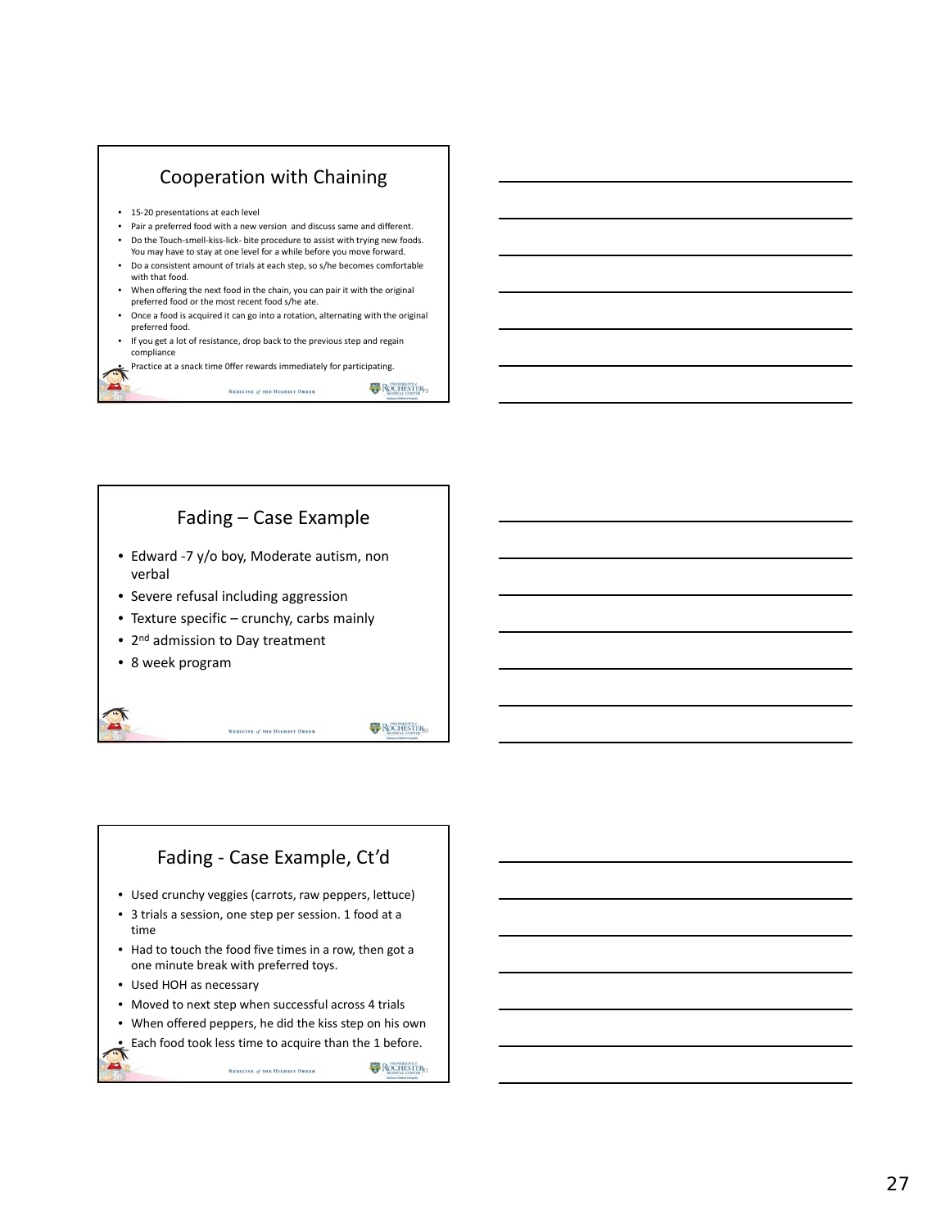

# Fading – Case Example

- Edward ‐7 y/o boy, Moderate autism, non verbal
- Severe refusal including aggression
- Texture specific crunchy, carbs mainly
- 2<sup>nd</sup> admission to Day treatment
- 8 week program

MEDICINE of THE HIGHEST ORDER

**B** ROCHISTER<sub>SO</sub>

# Fading ‐ Case Example, Ct'd

- Used crunchy veggies (carrots, raw peppers, lettuce)
- 3 trials a session, one step per session. 1 food at a time
- Had to touch the food five times in a row, then got a one minute break with preferred toys.
- Used HOH as necessary
- Moved to next step when successful across 4 trials
- When offered peppers, he did the kiss step on his own
- Each food took less time to acquire than the 1 before.

**B** ROCHESTER<sub>31</sub> MEDICINE of THE HIGHEST ORDER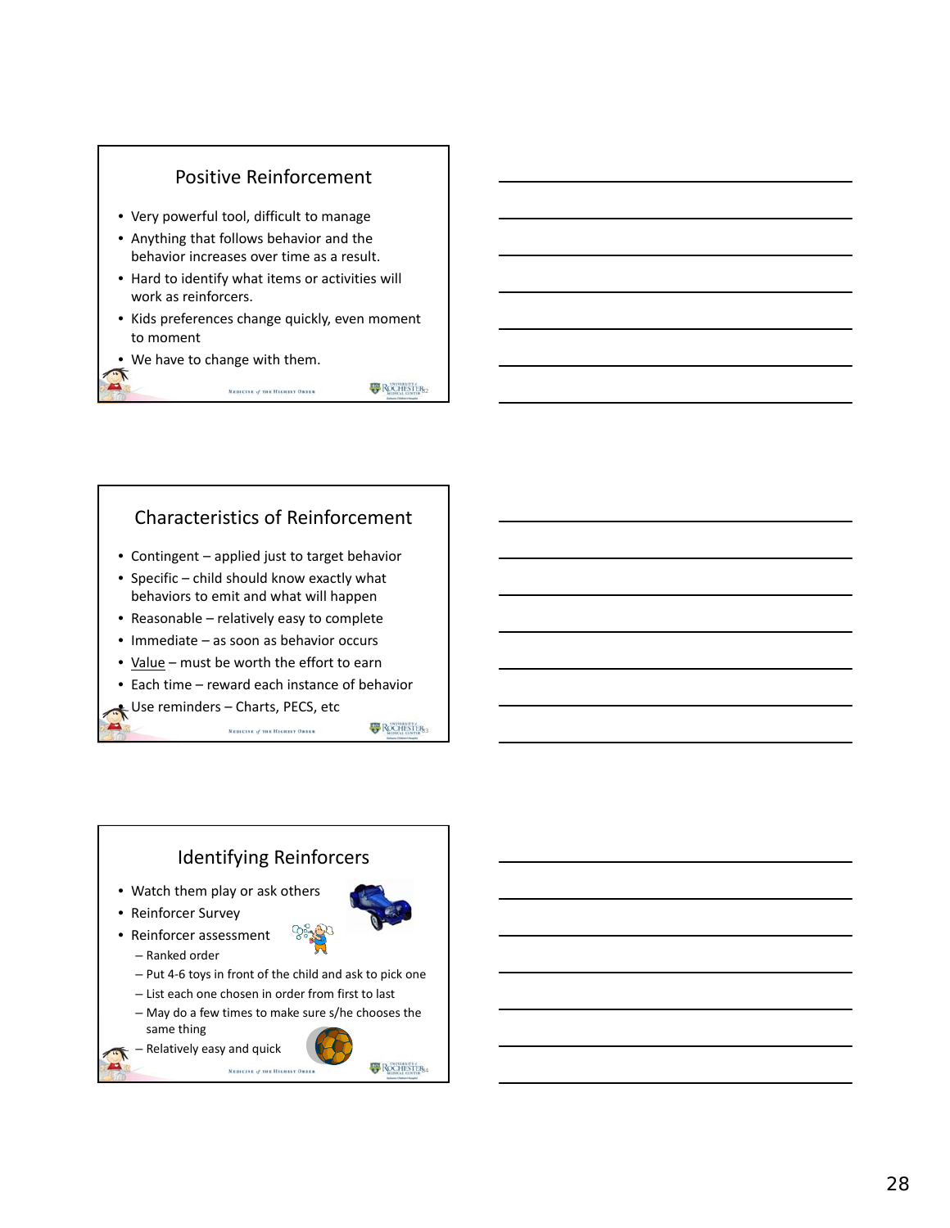

Characteristics of Reinforcement

MEDICINE of THE HIGHEST ORDER

- Contingent applied just to target behavior
- Specific child should know exactly what behaviors to emit and what will happen
- Reasonable relatively easy to complete
- Immediate as soon as behavior occurs
- Value must be worth the effort to earn
- Each time reward each instance of behavior

#### • Use reminders – Charts, PECS, etc

MEDICINE of THE HIGHEST ORDER

**B** ROCHESTER<sub>3</sub>

**B** ROCHESTER<sub>82</sub>

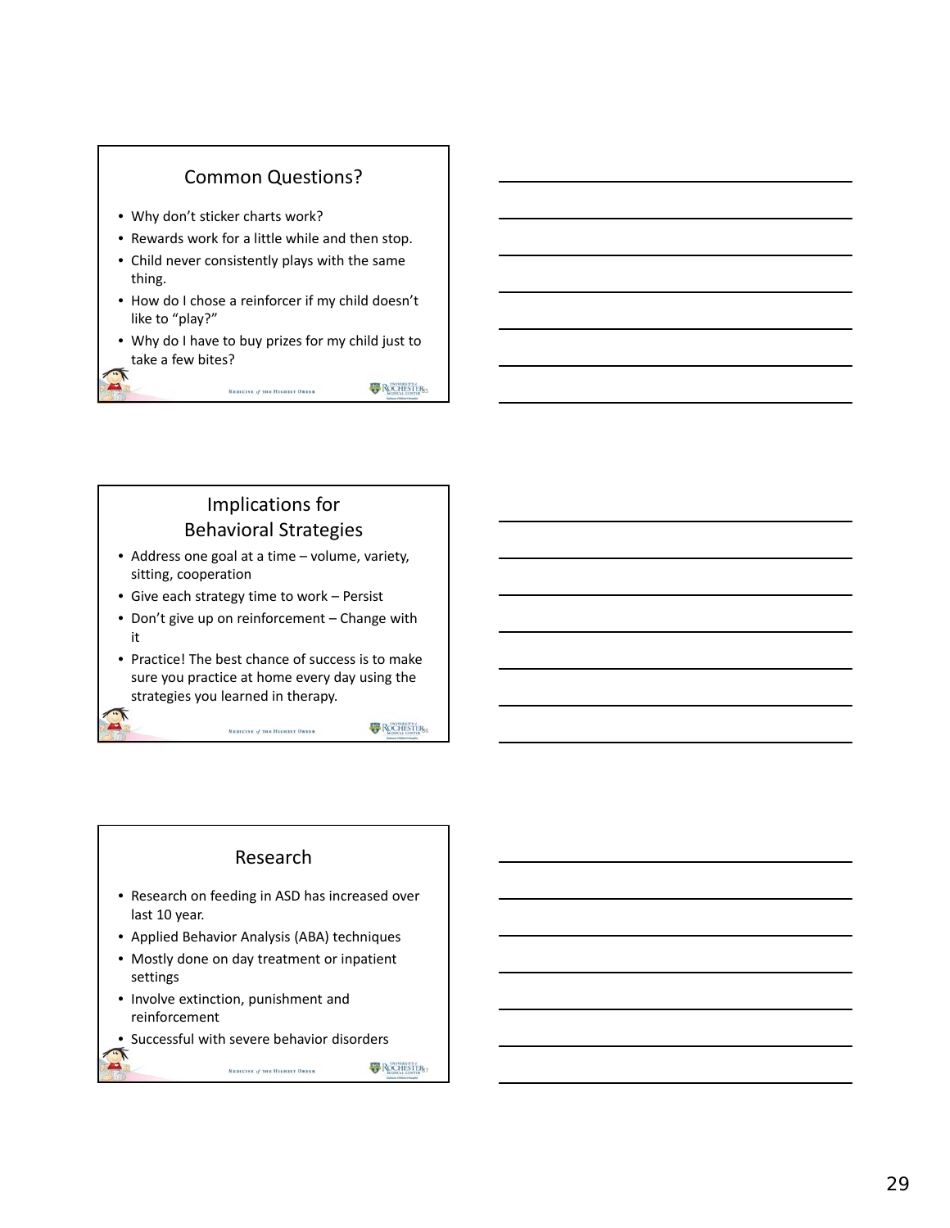#### Common Questions?

- Why don't sticker charts work?
- Rewards work for a little while and then stop.
- Child never consistently plays with the same thing.
- How do I chose a reinforcer if my child doesn't like to "play?"
- Why do I have to buy prizes for my child just to take a few bites?

MEDICINE of THE HIGHEST ORDER

**B** ROCHESTER<sub>55</sub>

**B** ROCHESTER<sub>6</sub>

#### Implications for Behavioral Strategies

- Address one goal at a time volume, variety, sitting, cooperation
- Give each strategy time to work Persist
- Don't give up on reinforcement Change with it
- Practice! The best chance of success is to make sure you practice at home every day using the strategies you learned in therapy.

MEDICINE of THE HIGHEST ORDER

# Research

- Research on feeding in ASD has increased over last 10 year.
- Applied Behavior Analysis (ABA) techniques
- Mostly done on day treatment or inpatient settings
- Involve extinction, punishment and reinforcement
- Successful with severe behavior disorders

MEDICINE of THE HIGHEST ORDER

**B** ROCHESTER<sub>57</sub>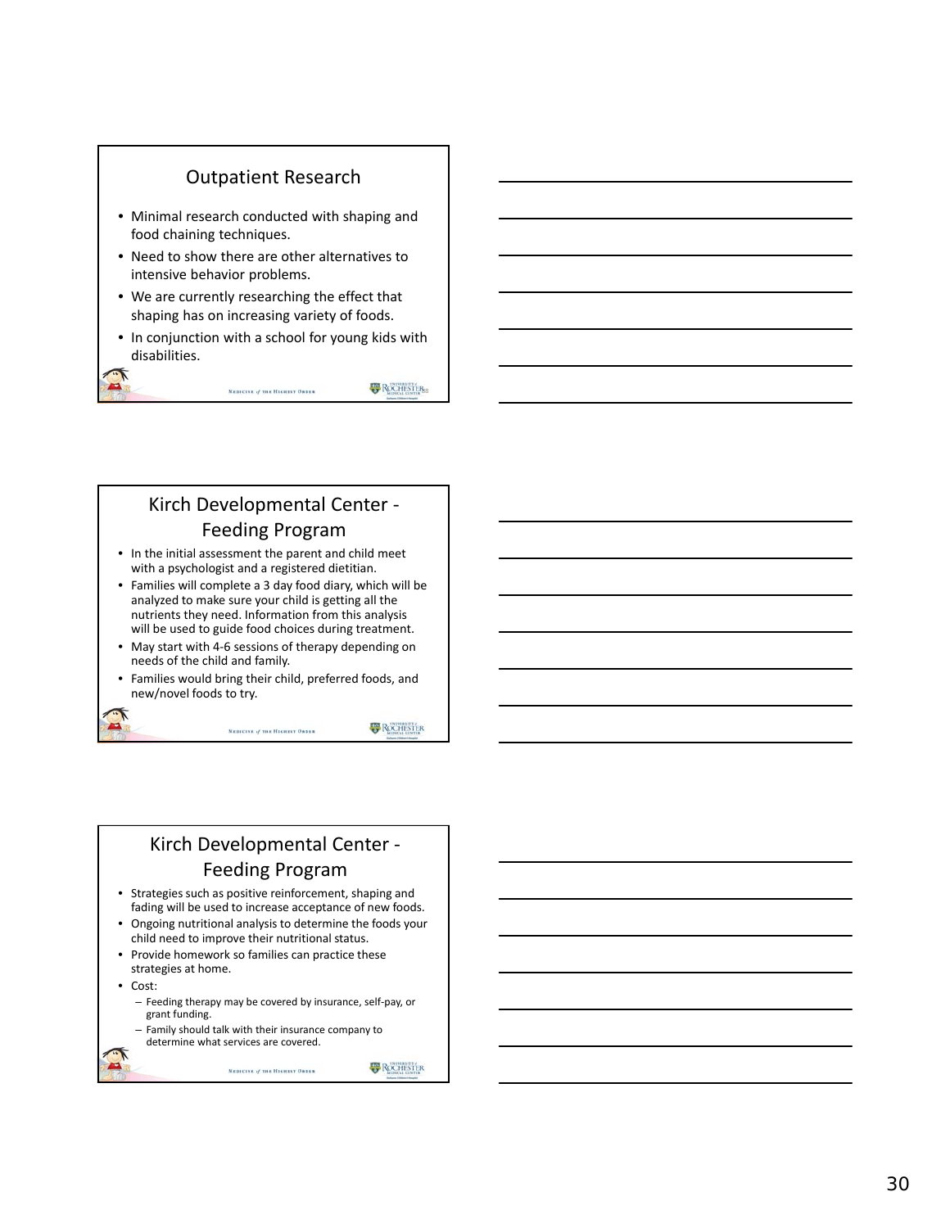#### Outpatient Research

- Minimal research conducted with shaping and food chaining techniques.
- Need to show there are other alternatives to intensive behavior problems.
- We are currently researching the effect that shaping has on increasing variety of foods.
- In conjunction with a school for young kids with disabilities.

MEDICINE of THE HIGHEST ORDER

**B** ROCHESTER<sub>53</sub>

## Kirch Developmental Center ‐ Feeding Program

- In the initial assessment the parent and child meet with a psychologist and a registered dietitian.
- Families will complete a 3 day food diary, which will be analyzed to make sure your child is getting all the nutrients they need. Information from this analysis will be used to guide food choices during treatment.
- May start with 4-6 sessions of therapy depending on needs of the child and family.
- Families would bring their child, preferred foods, and new/novel foods to try.

MEDICINE of THE HIGHEST ORDER

**B** ROCHESTER

### Kirch Developmental Center ‐ Feeding Program

- Strategies such as positive reinforcement, shaping and fading will be used to increase acceptance of new foods.
- Ongoing nutritional analysis to determine the foods your child need to improve their nutritional status.
- Provide homework so families can practice these strategies at home.
- Cost:
	- Feeding therapy may be covered by insurance, self ‐pay, or grant funding.

MEDICINE of THE HIGHEST ORDER

– Family should talk with their insurance company to determine what services are covered.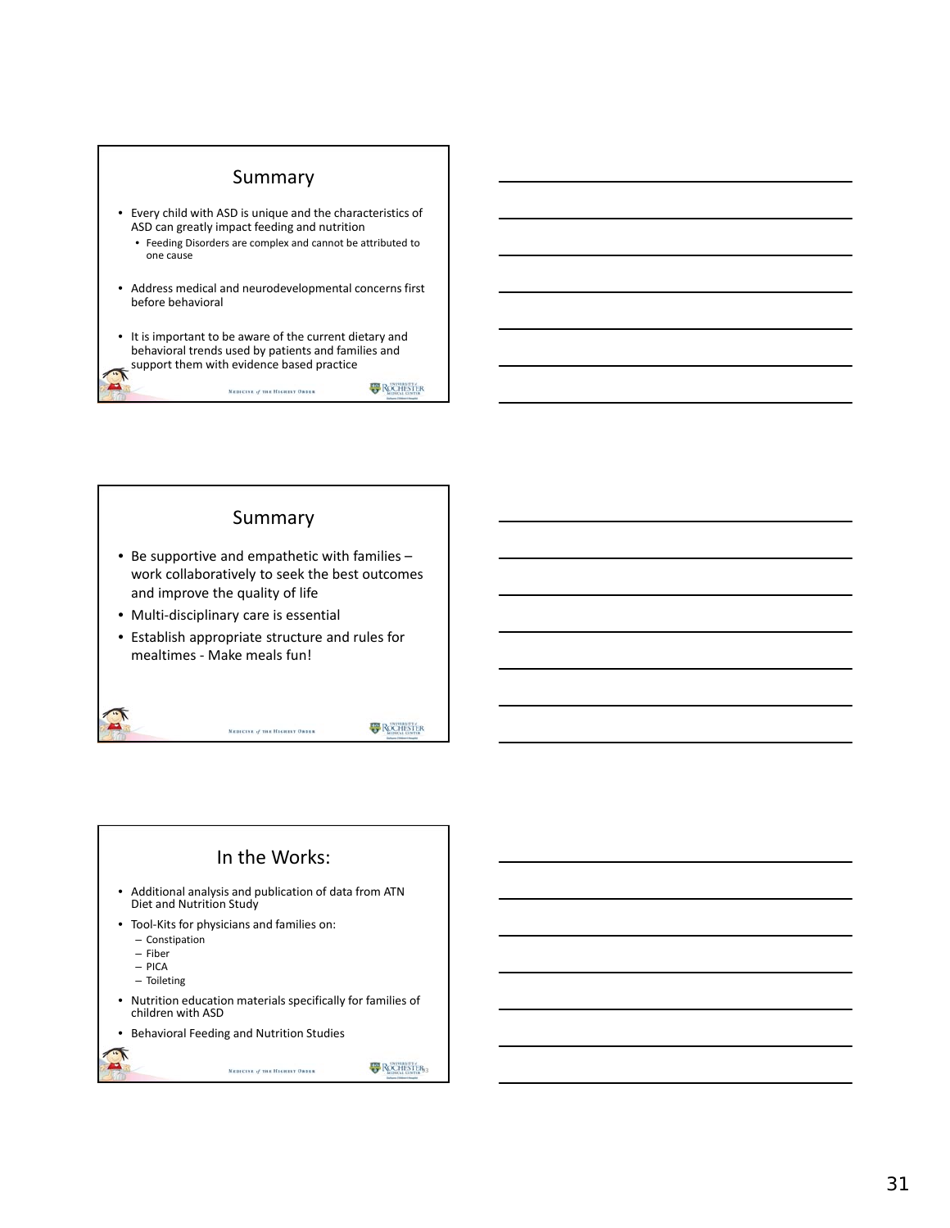

MEDICINE of THE HIGHEST ORDER

**B** ROCHESTER

**ROCHISTER** 

#### Summary

- Be supportive and empathetic with families work collaboratively to seek the best outcomes and improve the quality of life
- Multi‐disciplinary care is essential
- Establish appropriate structure and rules for mealtimes ‐ Make meals fun!

MEDICINE of THE HIGHEST ORDER



MEDICINE of THE HIGHEST ORDER

**B** ROCHISTER<sub>3</sub>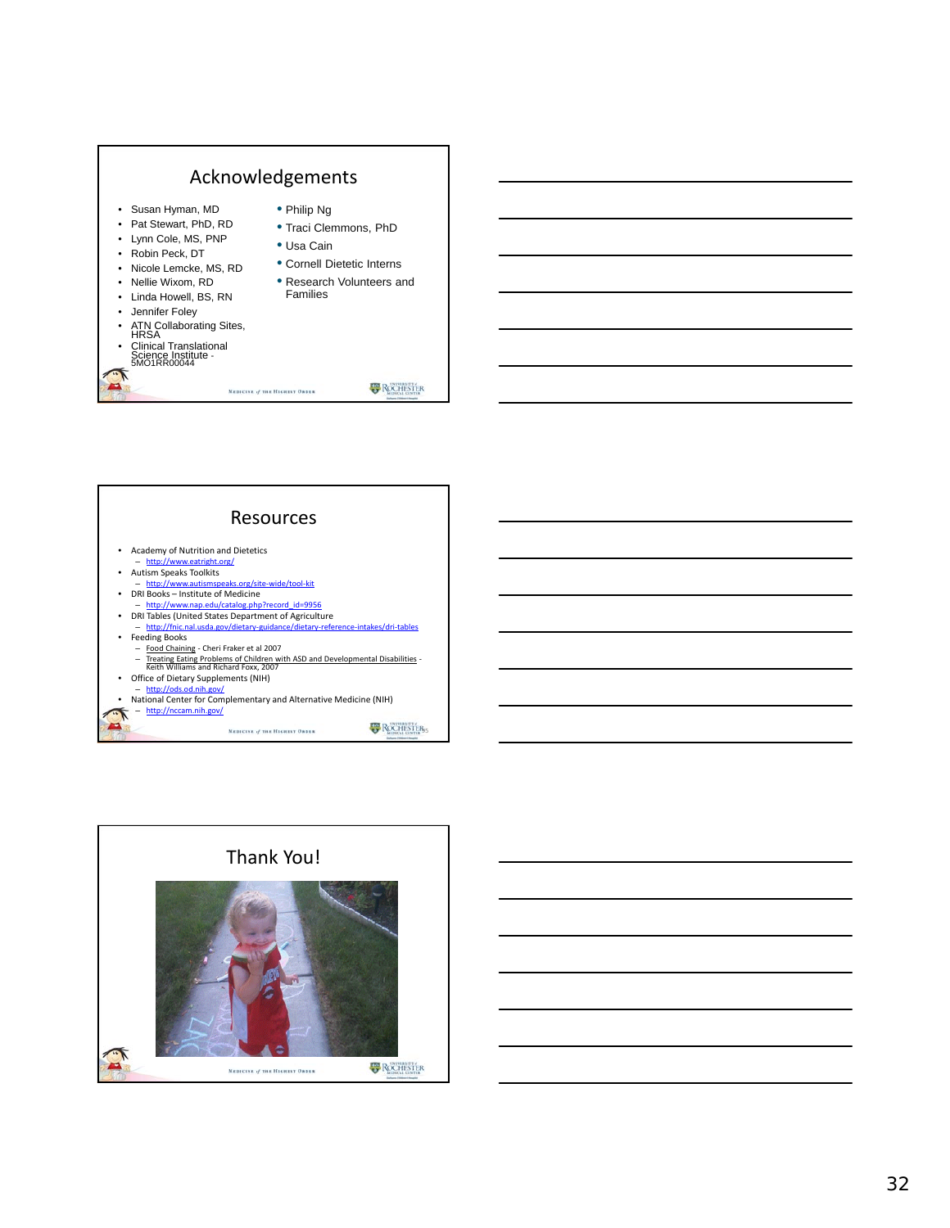